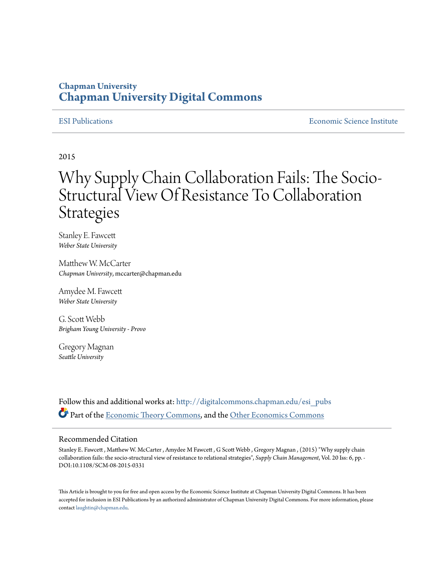## **Chapman University [Chapman University Digital Commons](http://digitalcommons.chapman.edu?utm_source=digitalcommons.chapman.edu%2Fesi_pubs%2F84&utm_medium=PDF&utm_campaign=PDFCoverPages)**

[ESI Publications](http://digitalcommons.chapman.edu/esi_pubs?utm_source=digitalcommons.chapman.edu%2Fesi_pubs%2F84&utm_medium=PDF&utm_campaign=PDFCoverPages) [Economic Science Institute](http://digitalcommons.chapman.edu/esi?utm_source=digitalcommons.chapman.edu%2Fesi_pubs%2F84&utm_medium=PDF&utm_campaign=PDFCoverPages)

2015

# Why Supply Chain Collaboration Fails: The Socio-Structural View Of Resistance To Collaboration Strategies

Stanley E. Fawcett *Weber State University*

Matthew W. McCarter *Chapman University*, mccarter@chapman.edu

Amydee M. Fawcett *Weber State University*

G. Scott Webb *Brigham Young University - Provo*

Gregory Magnan *Seattle University*

Follow this and additional works at: [http://digitalcommons.chapman.edu/esi\\_pubs](http://digitalcommons.chapman.edu/esi_pubs?utm_source=digitalcommons.chapman.edu%2Fesi_pubs%2F84&utm_medium=PDF&utm_campaign=PDFCoverPages) Part of the [Economic Theory Commons,](http://network.bepress.com/hgg/discipline/344?utm_source=digitalcommons.chapman.edu%2Fesi_pubs%2F84&utm_medium=PDF&utm_campaign=PDFCoverPages) and the [Other Economics Commons](http://network.bepress.com/hgg/discipline/353?utm_source=digitalcommons.chapman.edu%2Fesi_pubs%2F84&utm_medium=PDF&utm_campaign=PDFCoverPages)

#### Recommended Citation

Stanley E. Fawcett , Matthew W. McCarter , Amydee M Fawcett , G Scott Webb , Gregory Magnan , (2015) "Why supply chain collaboration fails: the socio-structural view of resistance to relational strategies", *Supply Chain Management*, Vol. 20 Iss: 6, pp. - DOI:10.1108/SCM-08-2015-0331

This Article is brought to you for free and open access by the Economic Science Institute at Chapman University Digital Commons. It has been accepted for inclusion in ESI Publications by an authorized administrator of Chapman University Digital Commons. For more information, please contact [laughtin@chapman.edu](mailto:laughtin@chapman.edu).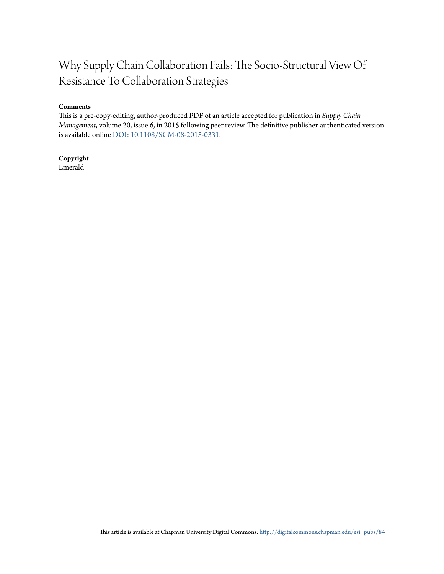# Why Supply Chain Collaboration Fails: The Socio-Structural View Of Resistance To Collaboration Strategies

### **Comments**

This is a pre-copy-editing, author-produced PDF of an article accepted for publication in *Supply Chain Management*, volume 20, issue 6, in 2015 following peer review. The definitive publisher-authenticated version is available online [DOI: 10.1108/SCM-08-2015-0331](http://www.emeraldinsight.com/doi/abs/10.1108/SCM-08-2015-0331).

**Copyright** Emerald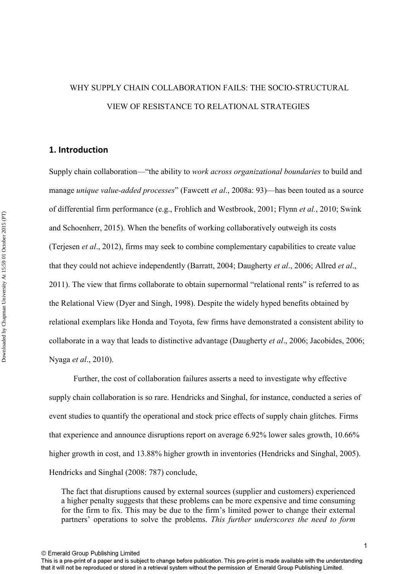# WHY SUPPLY CHAIN COLLABORATION FAILS: THE SOCIO-STRUCTURAL VIEW OF RESISTANCE TO RELATIONAL STRATEGIES

### **1. Introduction**

Supply chain collaboration—"the ability to *work across organizational boundaries* to build and manage *unique value-added processes*" (Fawcett *et al*., 2008a: 93)—has been touted as a source of differential firm performance (e.g., Frohlich and Westbrook, 2001; Flynn *et al.*, 2010; Swink and Schoenherr, 2015). When the benefits of working collaboratively outweigh its costs (Terjesen *et al*., 2012), firms may seek to combine complementary capabilities to create value that they could not achieve independently (Barratt, 2004; Daugherty *et al*., 2006; Allred *et al*., 2011). The view that firms collaborate to obtain supernormal "relational rents" is referred to as the Relational View (Dyer and Singh, 1998). Despite the widely hyped benefits obtained by relational exemplars like Honda and Toyota, few firms have demonstrated a consistent ability to collaborate in a way that leads to distinctive advantage (Daugherty *et al*., 2006; Jacobides, 2006; Nyaga *et al*., 2010).

 Further, the cost of collaboration failures asserts a need to investigate why effective supply chain collaboration is so rare. Hendricks and Singhal, for instance, conducted a series of event studies to quantify the operational and stock price effects of supply chain glitches. Firms that experience and announce disruptions report on average 6.92% lower sales growth, 10.66% higher growth in cost, and 13.88% higher growth in inventories (Hendricks and Singhal, 2005). Hendricks and Singhal (2008: 787) conclude,

The fact that disruptions caused by external sources (supplier and customers) experienced a higher penalty suggests that these problems can be more expensive and time consuming for the firm to fix. This may be due to the firm's limited power to change their external partners' operations to solve the problems. *This further underscores the need to form* 

© Emerald Group Publishing Limited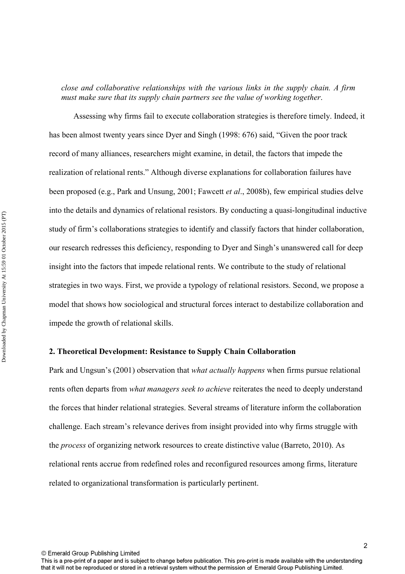*close and collaborative relationships with the various links in the supply chain. A firm must make sure that its supply chain partners see the value of working together*.

 Assessing why firms fail to execute collaboration strategies is therefore timely. Indeed, it has been almost twenty years since Dyer and Singh (1998: 676) said, "Given the poor track record of many alliances, researchers might examine, in detail, the factors that impede the realization of relational rents." Although diverse explanations for collaboration failures have been proposed (e.g., Park and Unsung, 2001; Fawcett *et al*., 2008b), few empirical studies delve into the details and dynamics of relational resistors. By conducting a quasi-longitudinal inductive study of firm's collaborations strategies to identify and classify factors that hinder collaboration, our research redresses this deficiency, responding to Dyer and Singh's unanswered call for deep insight into the factors that impede relational rents. We contribute to the study of relational strategies in two ways. First, we provide a typology of relational resistors. Second, we propose a model that shows how sociological and structural forces interact to destabilize collaboration and impede the growth of relational skills.

### **2. Theoretical Development: Resistance to Supply Chain Collaboration**

Park and Ungsun's (2001) observation that *what actually happens* when firms pursue relational rents often departs from *what managers seek to achieve* reiterates the need to deeply understand the forces that hinder relational strategies. Several streams of literature inform the collaboration challenge. Each stream's relevance derives from insight provided into why firms struggle with the *process* of organizing network resources to create distinctive value (Barreto, 2010). As relational rents accrue from redefined roles and reconfigured resources among firms, literature related to organizational transformation is particularly pertinent.

© Emerald Group Publishing Limited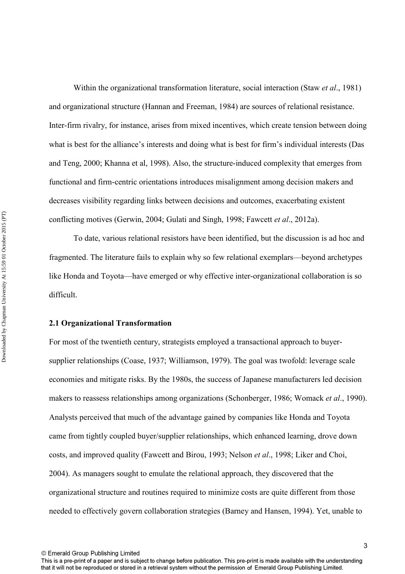Within the organizational transformation literature, social interaction (Staw *et al*., 1981) and organizational structure (Hannan and Freeman, 1984) are sources of relational resistance. Inter-firm rivalry, for instance, arises from mixed incentives, which create tension between doing what is best for the alliance's interests and doing what is best for firm's individual interests (Das and Teng, 2000; Khanna et al, 1998). Also, the structure-induced complexity that emerges from functional and firm-centric orientations introduces misalignment among decision makers and decreases visibility regarding links between decisions and outcomes, exacerbating existent conflicting motives (Gerwin, 2004; Gulati and Singh, 1998; Fawcett *et al*., 2012a).

 To date, various relational resistors have been identified, but the discussion is ad hoc and fragmented. The literature fails to explain why so few relational exemplars—beyond archetypes like Honda and Toyota—have emerged or why effective inter-organizational collaboration is so difficult.

### **2.1 Organizational Transformation**

For most of the twentieth century, strategists employed a transactional approach to buyersupplier relationships (Coase, 1937; Williamson, 1979). The goal was twofold: leverage scale economies and mitigate risks. By the 1980s, the success of Japanese manufacturers led decision makers to reassess relationships among organizations (Schonberger, 1986; Womack *et al*., 1990). Analysts perceived that much of the advantage gained by companies like Honda and Toyota came from tightly coupled buyer/supplier relationships, which enhanced learning, drove down costs, and improved quality (Fawcett and Birou, 1993; Nelson *et al*., 1998; Liker and Choi, 2004). As managers sought to emulate the relational approach, they discovered that the organizational structure and routines required to minimize costs are quite different from those needed to effectively govern collaboration strategies (Barney and Hansen, 1994). Yet, unable to

© Emerald Group Publishing Limited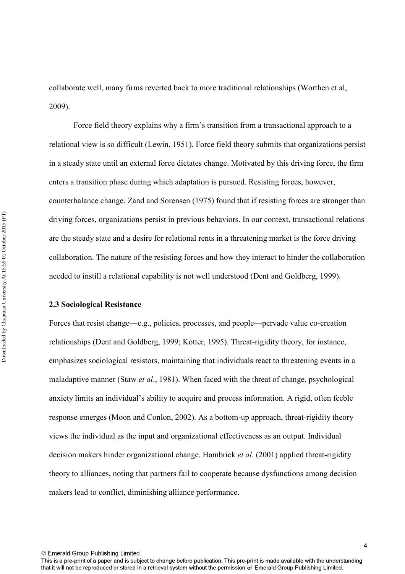collaborate well, many firms reverted back to more traditional relationships (Worthen et al, 2009).

 Force field theory explains why a firm's transition from a transactional approach to a relational view is so difficult (Lewin, 1951). Force field theory submits that organizations persist in a steady state until an external force dictates change. Motivated by this driving force, the firm enters a transition phase during which adaptation is pursued. Resisting forces, however, counterbalance change. Zand and Sorensen (1975) found that if resisting forces are stronger than driving forces, organizations persist in previous behaviors. In our context, transactional relations are the steady state and a desire for relational rents in a threatening market is the force driving collaboration. The nature of the resisting forces and how they interact to hinder the collaboration needed to instill a relational capability is not well understood (Dent and Goldberg, 1999).

### **2.3 Sociological Resistance**

Forces that resist change—e.g., policies, processes, and people—pervade value co-creation relationships (Dent and Goldberg, 1999; Kotter, 1995). Threat-rigidity theory, for instance, emphasizes sociological resistors, maintaining that individuals react to threatening events in a maladaptive manner (Staw *et al*., 1981). When faced with the threat of change, psychological anxiety limits an individual's ability to acquire and process information. A rigid, often feeble response emerges (Moon and Conlon, 2002). As a bottom-up approach, threat-rigidity theory views the individual as the input and organizational effectiveness as an output. Individual decision makers hinder organizational change. Hambrick *et al*. (2001) applied threat-rigidity theory to alliances, noting that partners fail to cooperate because dysfunctions among decision makers lead to conflict, diminishing alliance performance.

© Emerald Group Publishing Limited

4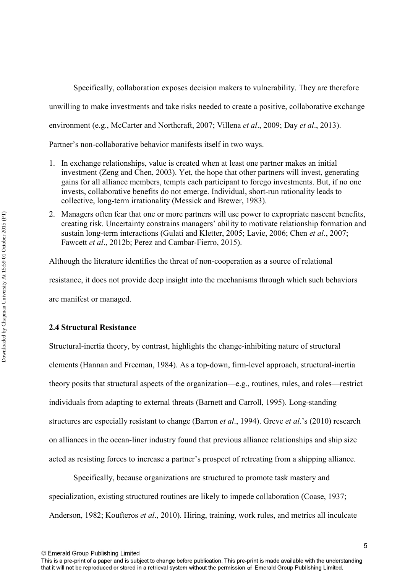Specifically, collaboration exposes decision makers to vulnerability. They are therefore

unwilling to make investments and take risks needed to create a positive, collaborative exchange

environment (e.g., McCarter and Northcraft, 2007; Villena *et al*., 2009; Day *et al*., 2013).

Partner's non-collaborative behavior manifests itself in two ways.

- 1. In exchange relationships, value is created when at least one partner makes an initial investment (Zeng and Chen, 2003). Yet, the hope that other partners will invest, generating gains for all alliance members, tempts each participant to forego investments. But, if no one invests, collaborative benefits do not emerge. Individual, short-run rationality leads to collective, long-term irrationality (Messick and Brewer, 1983).
- 2. Managers often fear that one or more partners will use power to expropriate nascent benefits, creating risk. Uncertainty constrains managers' ability to motivate relationship formation and sustain long-term interactions (Gulati and Kletter, 2005; Lavie, 2006; Chen *et al*., 2007; Fawcett *et al*., 2012b; Perez and Cambar-Fierro, 2015).

Although the literature identifies the threat of non-cooperation as a source of relational

resistance, it does not provide deep insight into the mechanisms through which such behaviors

are manifest or managed.

### **2.4 Structural Resistance**

Structural-inertia theory, by contrast, highlights the change-inhibiting nature of structural elements (Hannan and Freeman, 1984). As a top-down, firm-level approach, structural-inertia theory posits that structural aspects of the organization—e.g., routines, rules, and roles—restrict individuals from adapting to external threats (Barnett and Carroll, 1995). Long-standing structures are especially resistant to change (Barron *et al*., 1994). Greve *et al*.'s (2010) research on alliances in the ocean-liner industry found that previous alliance relationships and ship size acted as resisting forces to increase a partner's prospect of retreating from a shipping alliance.

 Specifically, because organizations are structured to promote task mastery and specialization, existing structured routines are likely to impede collaboration (Coase, 1937; Anderson, 1982; Koufteros *et al*., 2010). Hiring, training, work rules, and metrics all inculcate

© Emerald Group Publishing Limited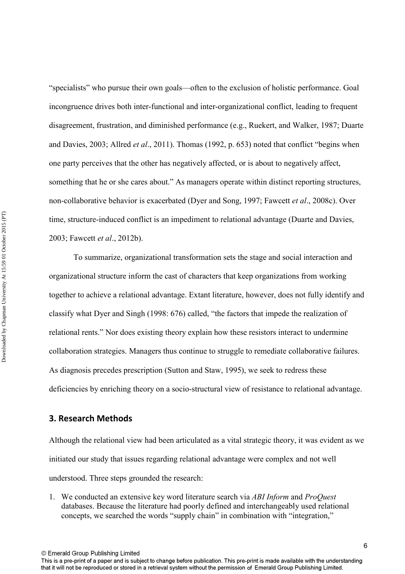"specialists" who pursue their own goals—often to the exclusion of holistic performance. Goal incongruence drives both inter-functional and inter-organizational conflict, leading to frequent disagreement, frustration, and diminished performance (e.g., Ruekert, and Walker, 1987; Duarte and Davies, 2003; Allred *et al*., 2011). Thomas (1992, p. 653) noted that conflict "begins when one party perceives that the other has negatively affected, or is about to negatively affect, something that he or she cares about." As managers operate within distinct reporting structures, non-collaborative behavior is exacerbated (Dyer and Song, 1997; Fawcett *et al*., 2008c). Over time, structure-induced conflict is an impediment to relational advantage (Duarte and Davies, 2003; Fawcett *et al*., 2012b).

 To summarize, organizational transformation sets the stage and social interaction and organizational structure inform the cast of characters that keep organizations from working together to achieve a relational advantage. Extant literature, however, does not fully identify and classify what Dyer and Singh (1998: 676) called, "the factors that impede the realization of relational rents." Nor does existing theory explain how these resistors interact to undermine collaboration strategies. Managers thus continue to struggle to remediate collaborative failures. As diagnosis precedes prescription (Sutton and Staw, 1995), we seek to redress these deficiencies by enriching theory on a socio-structural view of resistance to relational advantage.

### **3. Research Methods**

Although the relational view had been articulated as a vital strategic theory, it was evident as we initiated our study that issues regarding relational advantage were complex and not well understood. Three steps grounded the research:

1. We conducted an extensive key word literature search via *ABI Inform* and *ProQuest* databases. Because the literature had poorly defined and interchangeably used relational concepts, we searched the words "supply chain" in combination with "integration,"

© Emerald Group Publishing Limited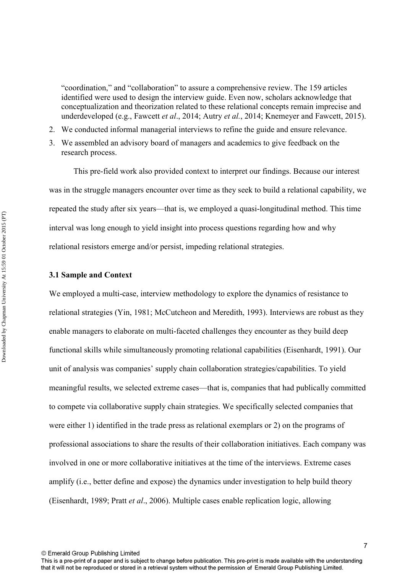"coordination," and "collaboration" to assure a comprehensive review. The 159 articles identified were used to design the interview guide. Even now, scholars acknowledge that conceptualization and theorization related to these relational concepts remain imprecise and underdeveloped (e.g., Fawcett *et al*., 2014; Autry *et al.*, 2014; Knemeyer and Fawcett, 2015).

- 2. We conducted informal managerial interviews to refine the guide and ensure relevance.
- 3. We assembled an advisory board of managers and academics to give feedback on the research process.

 This pre-field work also provided context to interpret our findings. Because our interest was in the struggle managers encounter over time as they seek to build a relational capability, we repeated the study after six years—that is, we employed a quasi-longitudinal method. This time interval was long enough to yield insight into process questions regarding how and why relational resistors emerge and/or persist, impeding relational strategies.

### **3.1 Sample and Context**

We employed a multi-case, interview methodology to explore the dynamics of resistance to relational strategies (Yin, 1981; McCutcheon and Meredith, 1993). Interviews are robust as they enable managers to elaborate on multi-faceted challenges they encounter as they build deep functional skills while simultaneously promoting relational capabilities (Eisenhardt, 1991). Our unit of analysis was companies' supply chain collaboration strategies/capabilities. To yield meaningful results, we selected extreme cases—that is, companies that had publically committed to compete via collaborative supply chain strategies. We specifically selected companies that were either 1) identified in the trade press as relational exemplars or 2) on the programs of professional associations to share the results of their collaboration initiatives. Each company was involved in one or more collaborative initiatives at the time of the interviews. Extreme cases amplify (i.e., better define and expose) the dynamics under investigation to help build theory (Eisenhardt, 1989; Pratt *et al*., 2006). Multiple cases enable replication logic, allowing

This is a pre-print of a paper and is subject to change before publication. This pre-print is made available with the understanding that it will not be reproduced or stored in a retrieval system without the permission of Emerald Group Publishing Limited.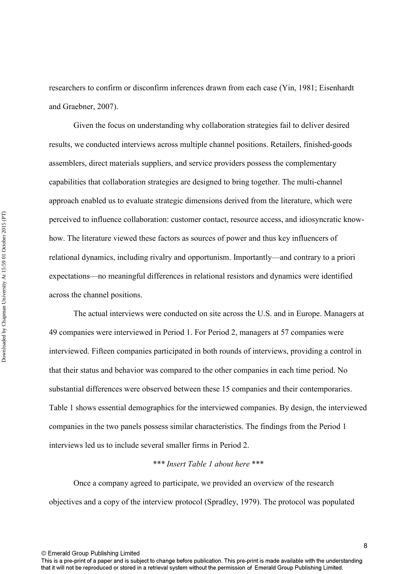researchers to confirm or disconfirm inferences drawn from each case (Yin, 1981; Eisenhardt and Graebner, 2007).

 Given the focus on understanding why collaboration strategies fail to deliver desired results, we conducted interviews across multiple channel positions. Retailers, finished-goods assemblers, direct materials suppliers, and service providers possess the complementary capabilities that collaboration strategies are designed to bring together. The multi-channel approach enabled us to evaluate strategic dimensions derived from the literature, which were perceived to influence collaboration: customer contact, resource access, and idiosyncratic knowhow. The literature viewed these factors as sources of power and thus key influencers of relational dynamics, including rivalry and opportunism. Importantly—and contrary to a priori expectations—no meaningful differences in relational resistors and dynamics were identified across the channel positions.

 The actual interviews were conducted on site across the U.S. and in Europe. Managers at 49 companies were interviewed in Period 1. For Period 2, managers at 57 companies were interviewed. Fifteen companies participated in both rounds of interviews, providing a control in that their status and behavior was compared to the other companies in each time period. No substantial differences were observed between these 15 companies and their contemporaries. Table 1 shows essential demographics for the interviewed companies. By design, the interviewed companies in the two panels possess similar characteristics. The findings from the Period 1 interviews led us to include several smaller firms in Period 2.

### *\*\*\* Insert Table 1 about here* \*\*\*

 Once a company agreed to participate, we provided an overview of the research objectives and a copy of the interview protocol (Spradley, 1979). The protocol was populated

© Emerald Group Publishing Limited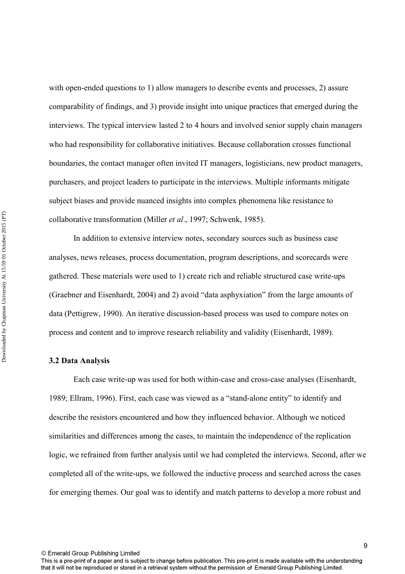with open-ended questions to 1) allow managers to describe events and processes, 2) assure comparability of findings, and 3) provide insight into unique practices that emerged during the interviews. The typical interview lasted 2 to 4 hours and involved senior supply chain managers who had responsibility for collaborative initiatives. Because collaboration crosses functional boundaries, the contact manager often invited IT managers, logisticians, new product managers, purchasers, and project leaders to participate in the interviews. Multiple informants mitigate subject biases and provide nuanced insights into complex phenomena like resistance to collaborative transformation (Miller *et al*., 1997; Schwenk, 1985).

 In addition to extensive interview notes, secondary sources such as business case analyses, news releases, process documentation, program descriptions, and scorecards were gathered. These materials were used to 1) create rich and reliable structured case write-ups (Graebner and Eisenhardt, 2004) and 2) avoid "data asphyxiation" from the large amounts of data (Pettigrew, 1990). An iterative discussion-based process was used to compare notes on process and content and to improve research reliability and validity (Eisenhardt, 1989).

### **3.2 Data Analysis**

 Each case write-up was used for both within-case and cross-case analyses (Eisenhardt, 1989; Ellram, 1996). First, each case was viewed as a "stand-alone entity" to identify and describe the resistors encountered and how they influenced behavior. Although we noticed similarities and differences among the cases, to maintain the independence of the replication logic, we refrained from further analysis until we had completed the interviews. Second, after we completed all of the write-ups, we followed the inductive process and searched across the cases for emerging themes. Our goal was to identify and match patterns to develop a more robust and

© Emerald Group Publishing Limited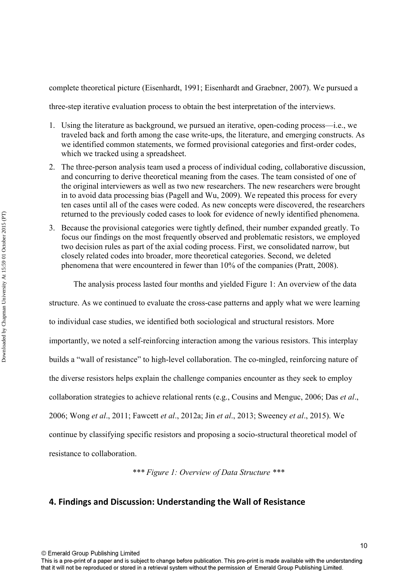complete theoretical picture (Eisenhardt, 1991; Eisenhardt and Graebner, 2007). We pursued a

three-step iterative evaluation process to obtain the best interpretation of the interviews.

- 1. Using the literature as background, we pursued an iterative, open-coding process—i.e., we traveled back and forth among the case write-ups, the literature, and emerging constructs. As we identified common statements, we formed provisional categories and first-order codes, which we tracked using a spreadsheet.
- 2. The three-person analysis team used a process of individual coding, collaborative discussion, and concurring to derive theoretical meaning from the cases. The team consisted of one of the original interviewers as well as two new researchers. The new researchers were brought in to avoid data processing bias (Pagell and Wu, 2009). We repeated this process for every ten cases until all of the cases were coded. As new concepts were discovered, the researchers returned to the previously coded cases to look for evidence of newly identified phenomena.
- 3. Because the provisional categories were tightly defined, their number expanded greatly. To focus our findings on the most frequently observed and problematic resistors, we employed two decision rules as part of the axial coding process. First, we consolidated narrow, but closely related codes into broader, more theoretical categories. Second, we deleted phenomena that were encountered in fewer than 10% of the companies (Pratt, 2008).

The analysis process lasted four months and yielded Figure 1: An overview of the data

structure. As we continued to evaluate the cross-case patterns and apply what we were learning to individual case studies, we identified both sociological and structural resistors. More importantly, we noted a self-reinforcing interaction among the various resistors. This interplay builds a "wall of resistance" to high-level collaboration. The co-mingled, reinforcing nature of the diverse resistors helps explain the challenge companies encounter as they seek to employ collaboration strategies to achieve relational rents (e.g., Cousins and Menguc, 2006; Das *et al*., 2006; Wong *et al*., 2011; Fawcett *et al*., 2012a; Jin *et al*., 2013; Sweeney *et al*., 2015). We continue by classifying specific resistors and proposing a socio-structural theoretical model of resistance to collaboration.

*\*\*\* Figure 1: Overview of Data Structure \*\*\** 

### **4. Findings and Discussion: Understanding the Wall of Resistance**

© Emerald Group Publishing Limited

10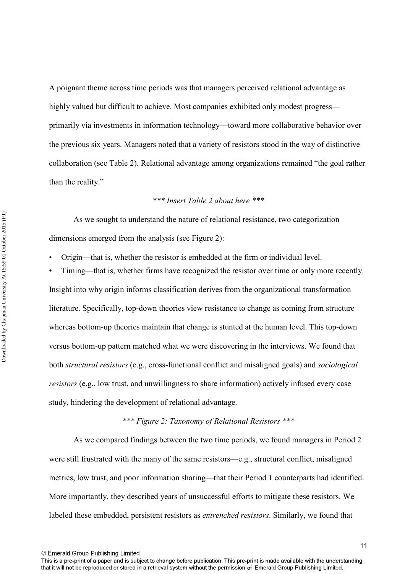A poignant theme across time periods was that managers perceived relational advantage as highly valued but difficult to achieve. Most companies exhibited only modest progress primarily via investments in information technology—toward more collaborative behavior over the previous six years. Managers noted that a variety of resistors stood in the way of distinctive collaboration (see Table 2). Relational advantage among organizations remained "the goal rather than the reality."

### *\*\*\* Insert Table 2 about here \*\*\**

 As we sought to understand the nature of relational resistance, two categorization dimensions emerged from the analysis (see Figure 2):

- Origin—that is, whether the resistor is embedded at the firm or individual level.
- Timing—that is, whether firms have recognized the resistor over time or only more recently.

Insight into why origin informs classification derives from the organizational transformation literature. Specifically, top-down theories view resistance to change as coming from structure whereas bottom-up theories maintain that change is stunted at the human level. This top-down versus bottom-up pattern matched what we were discovering in the interviews. We found that both *structural resistors* (e.g., cross-functional conflict and misaligned goals) and *sociological resistors* (e.g., low trust, and unwillingness to share information) actively infused every case study, hindering the development of relational advantage.

### *\*\*\* Figure 2: Taxonomy of Relational Resistors \*\*\**

 As we compared findings between the two time periods, we found managers in Period 2 were still frustrated with the many of the same resistors—e.g., structural conflict, misaligned metrics, low trust, and poor information sharing—that their Period 1 counterparts had identified. More importantly, they described years of unsuccessful efforts to mitigate these resistors. We labeled these embedded, persistent resistors as *entrenched resistors*. Similarly, we found that

This is a pre-print of a paper and is subject to change before publication. This pre-print is made available with the understanding that it will not be reproduced or stored in a retrieval system without the permission of Emerald Group Publishing Limited.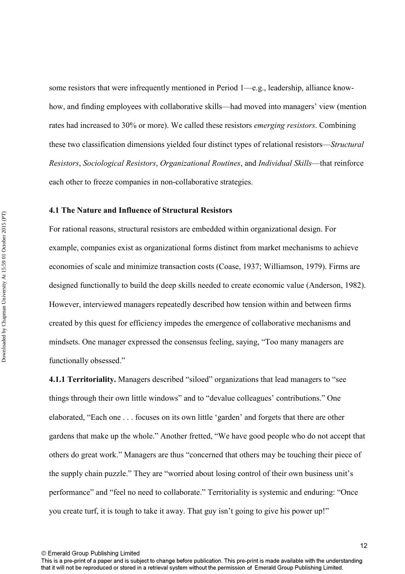some resistors that were infrequently mentioned in Period 1—e.g., leadership, alliance knowhow, and finding employees with collaborative skills—had moved into managers' view (mention rates had increased to 30% or more). We called these resistors *emerging resistors*. Combining these two classification dimensions yielded four distinct types of relational resistors—*Structural Resistors*, *Sociological Resistors*, *Organizational Routines*, and *Individual Skills*—that reinforce each other to freeze companies in non-collaborative strategies.

### **4.1 The Nature and Influence of Structural Resistors**

For rational reasons, structural resistors are embedded within organizational design. For example, companies exist as organizational forms distinct from market mechanisms to achieve economies of scale and minimize transaction costs (Coase, 1937; Williamson, 1979). Firms are designed functionally to build the deep skills needed to create economic value (Anderson, 1982). However, interviewed managers repeatedly described how tension within and between firms created by this quest for efficiency impedes the emergence of collaborative mechanisms and mindsets. One manager expressed the consensus feeling, saying, "Too many managers are functionally obsessed."

**4.1.1 Territoriality.** Managers described "siloed" organizations that lead managers to "see things through their own little windows" and to "devalue colleagues' contributions." One elaborated, "Each one . . . focuses on its own little 'garden' and forgets that there are other gardens that make up the whole." Another fretted, "We have good people who do not accept that others do great work." Managers are thus "concerned that others may be touching their piece of the supply chain puzzle." They are "worried about losing control of their own business unit's performance" and "feel no need to collaborate." Territoriality is systemic and enduring: "Once you create turf, it is tough to take it away. That guy isn't going to give his power up!"

This is a pre-print of a paper and is subject to change before publication. This pre-print is made available with the understanding that it will not be reproduced or stored in a retrieval system without the permission of Emerald Group Publishing Limited.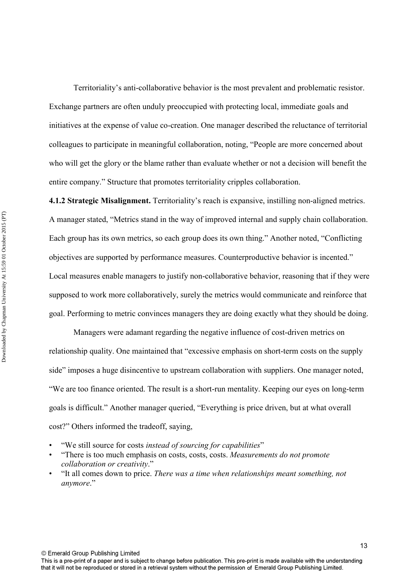Territoriality's anti-collaborative behavior is the most prevalent and problematic resistor. Exchange partners are often unduly preoccupied with protecting local, immediate goals and initiatives at the expense of value co-creation. One manager described the reluctance of territorial colleagues to participate in meaningful collaboration, noting, "People are more concerned about who will get the glory or the blame rather than evaluate whether or not a decision will benefit the entire company." Structure that promotes territoriality cripples collaboration.

**4.1.2 Strategic Misalignment.** Territoriality's reach is expansive, instilling non-aligned metrics. A manager stated, "Metrics stand in the way of improved internal and supply chain collaboration. Each group has its own metrics, so each group does its own thing." Another noted, "Conflicting objectives are supported by performance measures. Counterproductive behavior is incented." Local measures enable managers to justify non-collaborative behavior, reasoning that if they were supposed to work more collaboratively, surely the metrics would communicate and reinforce that goal. Performing to metric convinces managers they are doing exactly what they should be doing.

 Managers were adamant regarding the negative influence of cost-driven metrics on relationship quality. One maintained that "excessive emphasis on short-term costs on the supply side" imposes a huge disincentive to upstream collaboration with suppliers. One manager noted, "We are too finance oriented. The result is a short-run mentality. Keeping our eyes on long-term goals is difficult." Another manager queried, "Everything is price driven, but at what overall cost?" Others informed the tradeoff, saying,

- "We still source for costs *instead of sourcing for capabilities*"
- "There is too much emphasis on costs, costs, costs. *Measurements do not promote collaboration or creativity*."
- "It all comes down to price. *There was a time when relationships meant something, not anymore*."

© Emerald Group Publishing Limited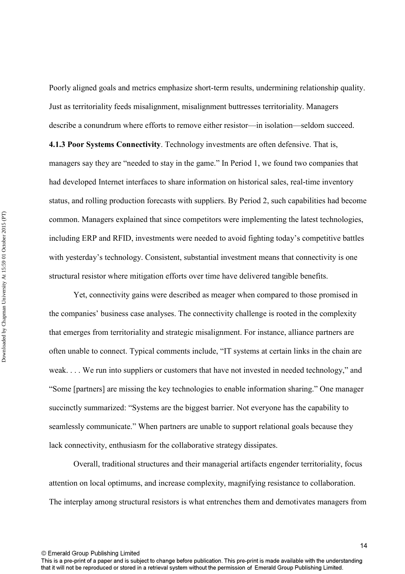Poorly aligned goals and metrics emphasize short-term results, undermining relationship quality. Just as territoriality feeds misalignment, misalignment buttresses territoriality. Managers describe a conundrum where efforts to remove either resistor—in isolation—seldom succeed.

**4.1.3 Poor Systems Connectivity**. Technology investments are often defensive. That is, managers say they are "needed to stay in the game." In Period 1, we found two companies that had developed Internet interfaces to share information on historical sales, real-time inventory status, and rolling production forecasts with suppliers. By Period 2, such capabilities had become common. Managers explained that since competitors were implementing the latest technologies, including ERP and RFID, investments were needed to avoid fighting today's competitive battles with yesterday's technology. Consistent, substantial investment means that connectivity is one structural resistor where mitigation efforts over time have delivered tangible benefits.

 Yet, connectivity gains were described as meager when compared to those promised in the companies' business case analyses. The connectivity challenge is rooted in the complexity that emerges from territoriality and strategic misalignment. For instance, alliance partners are often unable to connect. Typical comments include, "IT systems at certain links in the chain are weak. . . . We run into suppliers or customers that have not invested in needed technology," and "Some [partners] are missing the key technologies to enable information sharing." One manager succinctly summarized: "Systems are the biggest barrier. Not everyone has the capability to seamlessly communicate." When partners are unable to support relational goals because they lack connectivity, enthusiasm for the collaborative strategy dissipates.

 Overall, traditional structures and their managerial artifacts engender territoriality, focus attention on local optimums, and increase complexity, magnifying resistance to collaboration. The interplay among structural resistors is what entrenches them and demotivates managers from

© Emerald Group Publishing Limited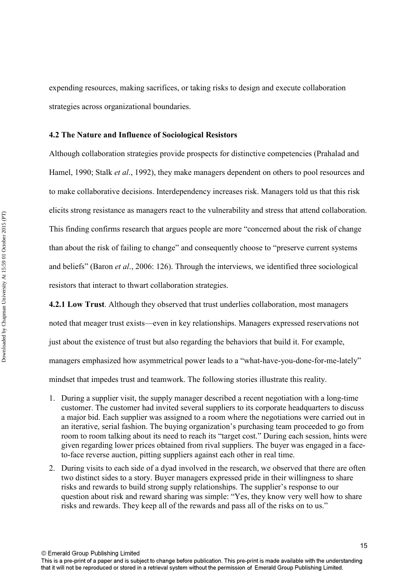expending resources, making sacrifices, or taking risks to design and execute collaboration strategies across organizational boundaries.

### **4.2 The Nature and Influence of Sociological Resistors**

Although collaboration strategies provide prospects for distinctive competencies (Prahalad and Hamel, 1990; Stalk *et al*., 1992), they make managers dependent on others to pool resources and to make collaborative decisions. Interdependency increases risk. Managers told us that this risk elicits strong resistance as managers react to the vulnerability and stress that attend collaboration. This finding confirms research that argues people are more "concerned about the risk of change than about the risk of failing to change" and consequently choose to "preserve current systems and beliefs" (Baron *et al*., 2006: 126). Through the interviews, we identified three sociological resistors that interact to thwart collaboration strategies.

**4.2.1 Low Trust**. Although they observed that trust underlies collaboration, most managers noted that meager trust exists—even in key relationships. Managers expressed reservations not just about the existence of trust but also regarding the behaviors that build it. For example, managers emphasized how asymmetrical power leads to a "what-have-you-done-for-me-lately" mindset that impedes trust and teamwork. The following stories illustrate this reality.

- 1. During a supplier visit, the supply manager described a recent negotiation with a long-time customer. The customer had invited several suppliers to its corporate headquarters to discuss a major bid. Each supplier was assigned to a room where the negotiations were carried out in an iterative, serial fashion. The buying organization's purchasing team proceeded to go from room to room talking about its need to reach its "target cost." During each session, hints were given regarding lower prices obtained from rival suppliers. The buyer was engaged in a faceto-face reverse auction, pitting suppliers against each other in real time.
- 2. During visits to each side of a dyad involved in the research, we observed that there are often two distinct sides to a story. Buyer managers expressed pride in their willingness to share risks and rewards to build strong supply relationships. The supplier's response to our question about risk and reward sharing was simple: "Yes, they know very well how to share risks and rewards. They keep all of the rewards and pass all of the risks on to us."

© Emerald Group Publishing Limited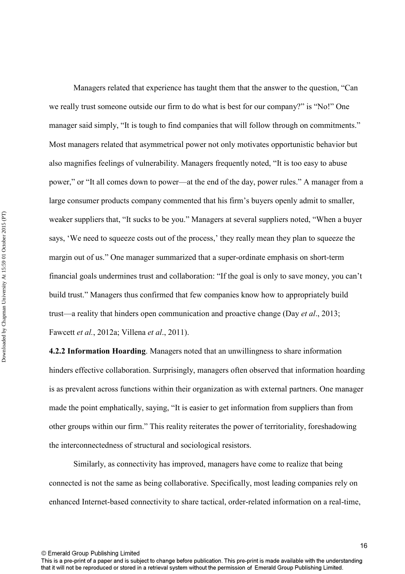Managers related that experience has taught them that the answer to the question, "Can we really trust someone outside our firm to do what is best for our company?" is "No!" One manager said simply, "It is tough to find companies that will follow through on commitments." Most managers related that asymmetrical power not only motivates opportunistic behavior but also magnifies feelings of vulnerability. Managers frequently noted, "It is too easy to abuse power," or "It all comes down to power—at the end of the day, power rules." A manager from a large consumer products company commented that his firm's buyers openly admit to smaller, weaker suppliers that, "It sucks to be you." Managers at several suppliers noted, "When a buyer says, 'We need to squeeze costs out of the process,' they really mean they plan to squeeze the margin out of us." One manager summarized that a super-ordinate emphasis on short-term financial goals undermines trust and collaboration: "If the goal is only to save money, you can't build trust." Managers thus confirmed that few companies know how to appropriately build trust—a reality that hinders open communication and proactive change (Day *et al*., 2013; Fawcett *et al.*, 2012a; Villena *et al*., 2011).

**4.2.2 Information Hoarding**. Managers noted that an unwillingness to share information hinders effective collaboration. Surprisingly, managers often observed that information hoarding is as prevalent across functions within their organization as with external partners. One manager made the point emphatically, saying, "It is easier to get information from suppliers than from other groups within our firm." This reality reiterates the power of territoriality, foreshadowing the interconnectedness of structural and sociological resistors.

 Similarly, as connectivity has improved, managers have come to realize that being connected is not the same as being collaborative. Specifically, most leading companies rely on enhanced Internet-based connectivity to share tactical, order-related information on a real-time,

© Emerald Group Publishing Limited

16

This is a pre-print of a paper and is subject to change before publication. This pre-print is made available with the understanding that it will not be reproduced or stored in a retrieval system without the permission of Emerald Group Publishing Limited.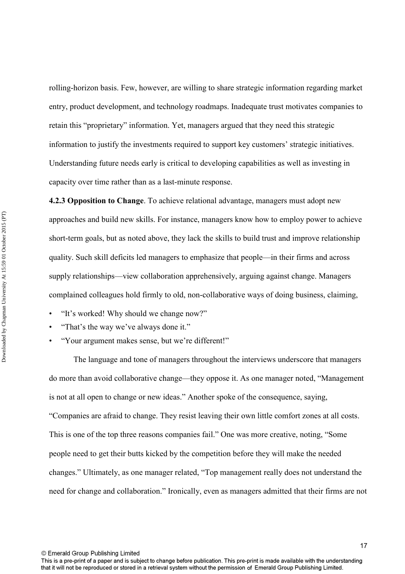rolling-horizon basis. Few, however, are willing to share strategic information regarding market entry, product development, and technology roadmaps. Inadequate trust motivates companies to retain this "proprietary" information. Yet, managers argued that they need this strategic information to justify the investments required to support key customers' strategic initiatives. Understanding future needs early is critical to developing capabilities as well as investing in capacity over time rather than as a last-minute response.

**4.2.3 Opposition to Change**. To achieve relational advantage, managers must adopt new approaches and build new skills. For instance, managers know how to employ power to achieve short-term goals, but as noted above, they lack the skills to build trust and improve relationship quality. Such skill deficits led managers to emphasize that people—in their firms and across supply relationships—view collaboration apprehensively, arguing against change. Managers complained colleagues hold firmly to old, non-collaborative ways of doing business, claiming,

- "It's worked! Why should we change now?"
- "That's the way we've always done it."
- "Your argument makes sense, but we're different!"

 The language and tone of managers throughout the interviews underscore that managers do more than avoid collaborative change—they oppose it. As one manager noted, "Management is not at all open to change or new ideas." Another spoke of the consequence, saying, "Companies are afraid to change. They resist leaving their own little comfort zones at all costs. This is one of the top three reasons companies fail." One was more creative, noting, "Some people need to get their butts kicked by the competition before they will make the needed changes." Ultimately, as one manager related, "Top management really does not understand the need for change and collaboration." Ironically, even as managers admitted that their firms are not

This is a pre-print of a paper and is subject to change before publication. This pre-print is made available with the understanding that it will not be reproduced or stored in a retrieval system without the permission of Emerald Group Publishing Limited.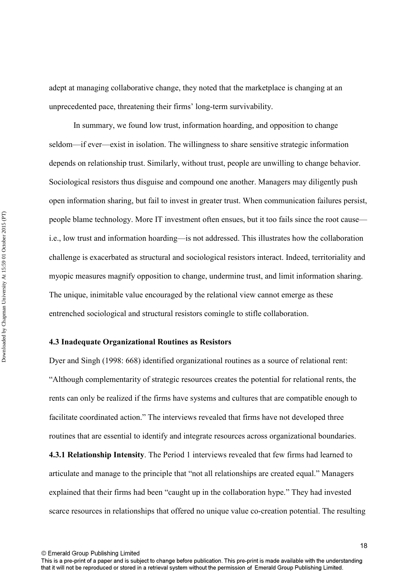adept at managing collaborative change, they noted that the marketplace is changing at an unprecedented pace, threatening their firms' long-term survivability.

 In summary, we found low trust, information hoarding, and opposition to change seldom—if ever—exist in isolation. The willingness to share sensitive strategic information depends on relationship trust. Similarly, without trust, people are unwilling to change behavior. Sociological resistors thus disguise and compound one another. Managers may diligently push open information sharing, but fail to invest in greater trust. When communication failures persist, people blame technology. More IT investment often ensues, but it too fails since the root cause i.e., low trust and information hoarding—is not addressed. This illustrates how the collaboration challenge is exacerbated as structural and sociological resistors interact. Indeed, territoriality and myopic measures magnify opposition to change, undermine trust, and limit information sharing. The unique, inimitable value encouraged by the relational view cannot emerge as these entrenched sociological and structural resistors comingle to stifle collaboration.

### **4.3 Inadequate Organizational Routines as Resistors**

Dyer and Singh (1998: 668) identified organizational routines as a source of relational rent: "Although complementarity of strategic resources creates the potential for relational rents, the rents can only be realized if the firms have systems and cultures that are compatible enough to facilitate coordinated action." The interviews revealed that firms have not developed three routines that are essential to identify and integrate resources across organizational boundaries.

**4.3.1 Relationship Intensity**. The Period 1 interviews revealed that few firms had learned to articulate and manage to the principle that "not all relationships are created equal." Managers explained that their firms had been "caught up in the collaboration hype." They had invested scarce resources in relationships that offered no unique value co-creation potential. The resulting

This is a pre-print of a paper and is subject to change before publication. This pre-print is made available with the understanding that it will not be reproduced or stored in a retrieval system without the permission of Emerald Group Publishing Limited.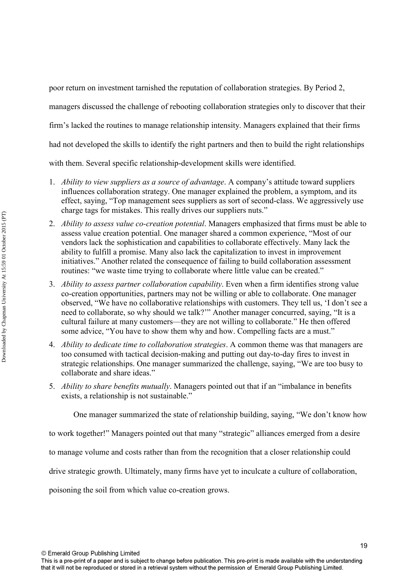poor return on investment tarnished the reputation of collaboration strategies. By Period 2,

managers discussed the challenge of rebooting collaboration strategies only to discover that their

firm's lacked the routines to manage relationship intensity. Managers explained that their firms

had not developed the skills to identify the right partners and then to build the right relationships

with them. Several specific relationship-development skills were identified.

- 1. *Ability to view suppliers as a source of advantage*. A company's attitude toward suppliers influences collaboration strategy. One manager explained the problem, a symptom, and its effect, saying, "Top management sees suppliers as sort of second-class. We aggressively use charge tags for mistakes. This really drives our suppliers nuts."
- 2. *Ability to assess value co-creation potential*. Managers emphasized that firms must be able to assess value creation potential. One manager shared a common experience, "Most of our vendors lack the sophistication and capabilities to collaborate effectively. Many lack the ability to fulfill a promise. Many also lack the capitalization to invest in improvement initiatives." Another related the consequence of failing to build collaboration assessment routines: "we waste time trying to collaborate where little value can be created."
- 3. *Ability to assess partner collaboration capability*. Even when a firm identifies strong value co-creation opportunities, partners may not be willing or able to collaborate. One manager observed, "We have no collaborative relationships with customers. They tell us, 'I don't see a need to collaborate, so why should we talk?'" Another manager concurred, saying, "It is a cultural failure at many customers—they are not willing to collaborate." He then offered some advice, "You have to show them why and how. Compelling facts are a must."
- 4. *Ability to dedicate time to collaboration strategies*. A common theme was that managers are too consumed with tactical decision-making and putting out day-to-day fires to invest in strategic relationships. One manager summarized the challenge, saying, "We are too busy to collaborate and share ideas."
- 5. *Ability to share benefits mutually*. Managers pointed out that if an "imbalance in benefits exists, a relationship is not sustainable."

One manager summarized the state of relationship building, saying, "We don't know how

to work together!" Managers pointed out that many "strategic" alliances emerged from a desire

to manage volume and costs rather than from the recognition that a closer relationship could

drive strategic growth. Ultimately, many firms have yet to inculcate a culture of collaboration,

poisoning the soil from which value co-creation grows.

This is a pre-print of a paper and is subject to change before publication. This pre-print is made available with the understanding that it will not be reproduced or stored in a retrieval system without the permission of Emerald Group Publishing Limited.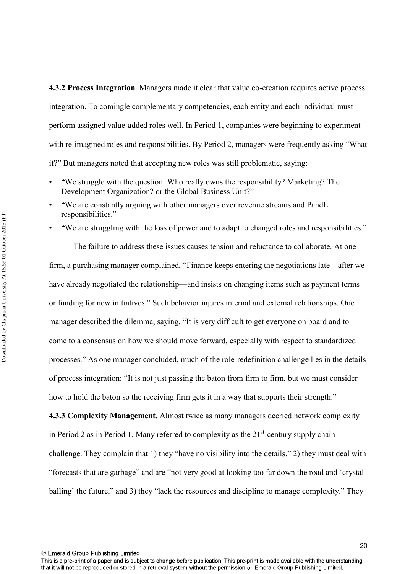**4.3.2 Process Integration**. Managers made it clear that value co-creation requires active process integration. To comingle complementary competencies, each entity and each individual must perform assigned value-added roles well. In Period 1, companies were beginning to experiment with re-imagined roles and responsibilities. By Period 2, managers were frequently asking "What if?" But managers noted that accepting new roles was still problematic, saying:

- "We struggle with the question: Who really owns the responsibility? Marketing? The Development Organization? or the Global Business Unit?"
- "We are constantly arguing with other managers over revenue streams and PandL responsibilities."
- "We are struggling with the loss of power and to adapt to changed roles and responsibilities."

 The failure to address these issues causes tension and reluctance to collaborate. At one firm, a purchasing manager complained, "Finance keeps entering the negotiations late—after we have already negotiated the relationship—and insists on changing items such as payment terms or funding for new initiatives." Such behavior injures internal and external relationships. One manager described the dilemma, saying, "It is very difficult to get everyone on board and to come to a consensus on how we should move forward, especially with respect to standardized processes." As one manager concluded, much of the role-redefinition challenge lies in the details of process integration: "It is not just passing the baton from firm to firm, but we must consider how to hold the baton so the receiving firm gets it in a way that supports their strength."

**4.3.3 Complexity Management**. Almost twice as many managers decried network complexity in Period 2 as in Period 1. Many referred to complexity as the  $21<sup>st</sup>$ -century supply chain challenge. They complain that 1) they "have no visibility into the details," 2) they must deal with "forecasts that are garbage" and are "not very good at looking too far down the road and 'crystal balling' the future," and 3) they "lack the resources and discipline to manage complexity." They

This is a pre-print of a paper and is subject to change before publication. This pre-print is made available with the understanding that it will not be reproduced or stored in a retrieval system without the permission of Emerald Group Publishing Limited.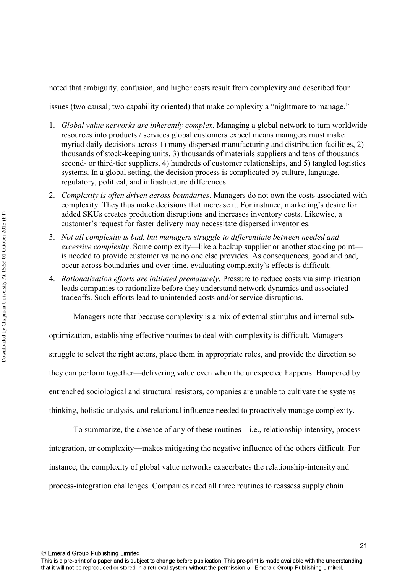noted that ambiguity, confusion, and higher costs result from complexity and described four

issues (two causal; two capability oriented) that make complexity a "nightmare to manage."

- 1. *Global value networks are inherently complex*. Managing a global network to turn worldwide resources into products / services global customers expect means managers must make myriad daily decisions across 1) many dispersed manufacturing and distribution facilities, 2) thousands of stock-keeping units, 3) thousands of materials suppliers and tens of thousands second- or third-tier suppliers, 4) hundreds of customer relationships, and 5) tangled logistics systems. In a global setting, the decision process is complicated by culture, language, regulatory, political, and infrastructure differences.
- 2. *Complexity is often driven across boundaries*. Managers do not own the costs associated with complexity. They thus make decisions that increase it. For instance, marketing's desire for added SKUs creates production disruptions and increases inventory costs. Likewise, a customer's request for faster delivery may necessitate dispersed inventories.
- 3. *Not all complexity is bad, but managers struggle to differentiate between needed and excessive complexity*. Some complexity—like a backup supplier or another stocking point is needed to provide customer value no one else provides. As consequences, good and bad, occur across boundaries and over time, evaluating complexity's effects is difficult.
- 4. *Rationalization efforts are initiated prematurely*. Pressure to reduce costs via simplification leads companies to rationalize before they understand network dynamics and associated tradeoffs. Such efforts lead to unintended costs and/or service disruptions.

Managers note that because complexity is a mix of external stimulus and internal sub-

optimization, establishing effective routines to deal with complexity is difficult. Managers struggle to select the right actors, place them in appropriate roles, and provide the direction so they can perform together—delivering value even when the unexpected happens. Hampered by entrenched sociological and structural resistors, companies are unable to cultivate the systems thinking, holistic analysis, and relational influence needed to proactively manage complexity.

 To summarize, the absence of any of these routines—i.e., relationship intensity, process integration, or complexity—makes mitigating the negative influence of the others difficult. For instance, the complexity of global value networks exacerbates the relationship-intensity and process-integration challenges. Companies need all three routines to reassess supply chain

© Emerald Group Publishing Limited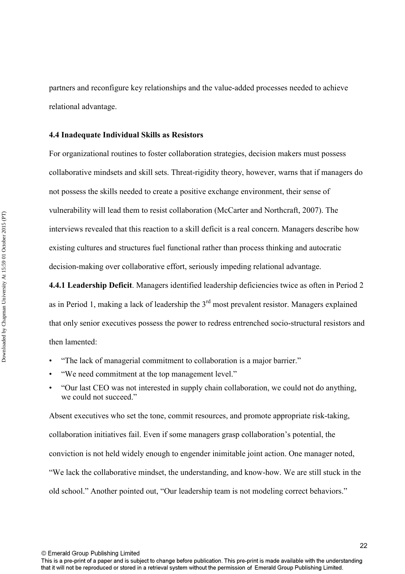partners and reconfigure key relationships and the value-added processes needed to achieve relational advantage.

### **4.4 Inadequate Individual Skills as Resistors**

For organizational routines to foster collaboration strategies, decision makers must possess collaborative mindsets and skill sets. Threat-rigidity theory, however, warns that if managers do not possess the skills needed to create a positive exchange environment, their sense of vulnerability will lead them to resist collaboration (McCarter and Northcraft, 2007). The interviews revealed that this reaction to a skill deficit is a real concern. Managers describe how existing cultures and structures fuel functional rather than process thinking and autocratic decision-making over collaborative effort, seriously impeding relational advantage.

**4.4.1 Leadership Deficit**. Managers identified leadership deficiencies twice as often in Period 2 as in Period 1, making a lack of leadership the  $3<sup>rd</sup>$  most prevalent resistor. Managers explained that only senior executives possess the power to redress entrenched socio-structural resistors and then lamented:

• "The lack of managerial commitment to collaboration is a major barrier."

- "We need commitment at the top management level."
- "Our last CEO was not interested in supply chain collaboration, we could not do anything, we could not succeed."

Absent executives who set the tone, commit resources, and promote appropriate risk-taking, collaboration initiatives fail. Even if some managers grasp collaboration's potential, the conviction is not held widely enough to engender inimitable joint action. One manager noted, "We lack the collaborative mindset, the understanding, and know-how. We are still stuck in the old school." Another pointed out, "Our leadership team is not modeling correct behaviors."

© Emerald Group Publishing Limited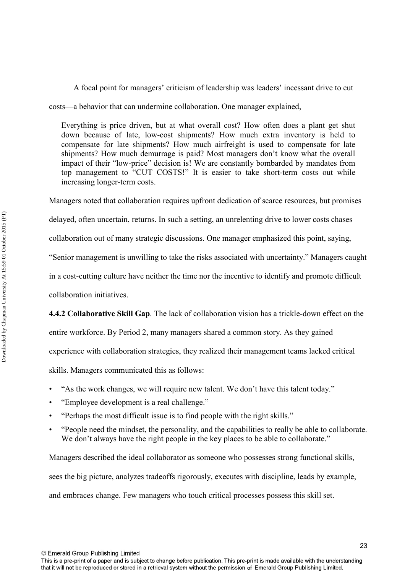A focal point for managers' criticism of leadership was leaders' incessant drive to cut

costs—a behavior that can undermine collaboration. One manager explained,

Everything is price driven, but at what overall cost? How often does a plant get shut down because of late, low-cost shipments? How much extra inventory is held to compensate for late shipments? How much airfreight is used to compensate for late shipments? How much demurrage is paid? Most managers don't know what the overall impact of their "low-price" decision is! We are constantly bombarded by mandates from top management to "CUT COSTS!" It is easier to take short-term costs out while increasing longer-term costs.

Managers noted that collaboration requires upfront dedication of scarce resources, but promises

delayed, often uncertain, returns. In such a setting, an unrelenting drive to lower costs chases

collaboration out of many strategic discussions. One manager emphasized this point, saying,

"Senior management is unwilling to take the risks associated with uncertainty." Managers caught

in a cost-cutting culture have neither the time nor the incentive to identify and promote difficult

collaboration initiatives.

**4.4.2 Collaborative Skill Gap**. The lack of collaboration vision has a trickle-down effect on the

entire workforce. By Period 2, many managers shared a common story. As they gained

experience with collaboration strategies, they realized their management teams lacked critical

skills. Managers communicated this as follows:

- "As the work changes, we will require new talent. We don't have this talent today."
- "Employee development is a real challenge."
- "Perhaps the most difficult issue is to find people with the right skills."
- "People need the mindset, the personality, and the capabilities to really be able to collaborate. We don't always have the right people in the key places to be able to collaborate."

Managers described the ideal collaborator as someone who possesses strong functional skills, sees the big picture, analyzes tradeoffs rigorously, executes with discipline, leads by example, and embraces change. Few managers who touch critical processes possess this skill set.

© Emerald Group Publishing Limited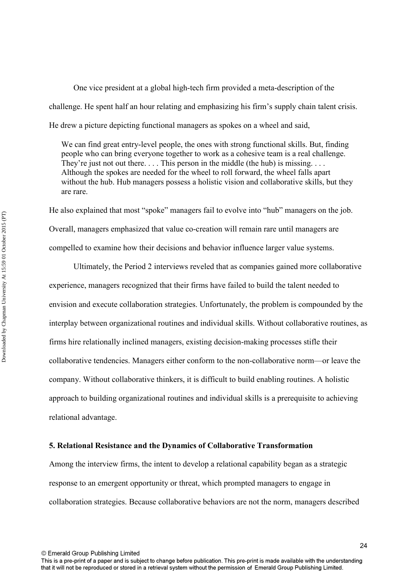One vice president at a global high-tech firm provided a meta-description of the challenge. He spent half an hour relating and emphasizing his firm's supply chain talent crisis. He drew a picture depicting functional managers as spokes on a wheel and said,

We can find great entry-level people, the ones with strong functional skills. But, finding people who can bring everyone together to work as a cohesive team is a real challenge. They're just not out there. . . . This person in the middle (the hub) is missing. . . . Although the spokes are needed for the wheel to roll forward, the wheel falls apart without the hub. Hub managers possess a holistic vision and collaborative skills, but they are rare.

He also explained that most "spoke" managers fail to evolve into "hub" managers on the job. Overall, managers emphasized that value co-creation will remain rare until managers are compelled to examine how their decisions and behavior influence larger value systems.

 Ultimately, the Period 2 interviews reveled that as companies gained more collaborative experience, managers recognized that their firms have failed to build the talent needed to envision and execute collaboration strategies. Unfortunately, the problem is compounded by the interplay between organizational routines and individual skills. Without collaborative routines, as firms hire relationally inclined managers, existing decision-making processes stifle their collaborative tendencies. Managers either conform to the non-collaborative norm—or leave the company. Without collaborative thinkers, it is difficult to build enabling routines. A holistic approach to building organizational routines and individual skills is a prerequisite to achieving relational advantage.

### **5. Relational Resistance and the Dynamics of Collaborative Transformation**

Among the interview firms, the intent to develop a relational capability began as a strategic response to an emergent opportunity or threat, which prompted managers to engage in collaboration strategies. Because collaborative behaviors are not the norm, managers described

© Emerald Group Publishing Limited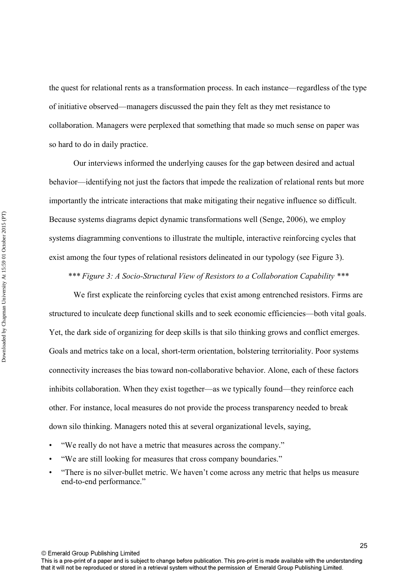the quest for relational rents as a transformation process. In each instance—regardless of the type of initiative observed—managers discussed the pain they felt as they met resistance to collaboration. Managers were perplexed that something that made so much sense on paper was so hard to do in daily practice.

 Our interviews informed the underlying causes for the gap between desired and actual behavior—identifying not just the factors that impede the realization of relational rents but more importantly the intricate interactions that make mitigating their negative influence so difficult. Because systems diagrams depict dynamic transformations well (Senge, 2006), we employ systems diagramming conventions to illustrate the multiple, interactive reinforcing cycles that exist among the four types of relational resistors delineated in our typology (see Figure 3).

*\*\*\* Figure 3: A Socio-Structural View of Resistors to a Collaboration Capability \*\*\** 

 We first explicate the reinforcing cycles that exist among entrenched resistors. Firms are structured to inculcate deep functional skills and to seek economic efficiencies—both vital goals. Yet, the dark side of organizing for deep skills is that silo thinking grows and conflict emerges. Goals and metrics take on a local, short-term orientation, bolstering territoriality. Poor systems connectivity increases the bias toward non-collaborative behavior. Alone, each of these factors inhibits collaboration. When they exist together—as we typically found—they reinforce each other. For instance, local measures do not provide the process transparency needed to break down silo thinking. Managers noted this at several organizational levels, saying,

- "We really do not have a metric that measures across the company."
- "We are still looking for measures that cross company boundaries."
- "There is no silver-bullet metric. We haven't come across any metric that helps us measure end-to-end performance."

© Emerald Group Publishing Limited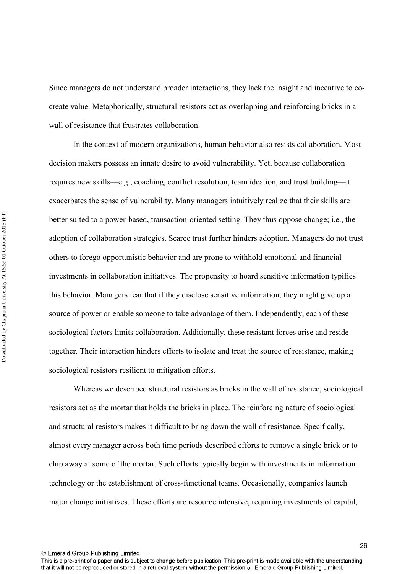Since managers do not understand broader interactions, they lack the insight and incentive to cocreate value. Metaphorically, structural resistors act as overlapping and reinforcing bricks in a wall of resistance that frustrates collaboration.

 In the context of modern organizations, human behavior also resists collaboration. Most decision makers possess an innate desire to avoid vulnerability. Yet, because collaboration requires new skills—e.g., coaching, conflict resolution, team ideation, and trust building—it exacerbates the sense of vulnerability. Many managers intuitively realize that their skills are better suited to a power-based, transaction-oriented setting. They thus oppose change; i.e., the adoption of collaboration strategies. Scarce trust further hinders adoption. Managers do not trust others to forego opportunistic behavior and are prone to withhold emotional and financial investments in collaboration initiatives. The propensity to hoard sensitive information typifies this behavior. Managers fear that if they disclose sensitive information, they might give up a source of power or enable someone to take advantage of them. Independently, each of these sociological factors limits collaboration. Additionally, these resistant forces arise and reside together. Their interaction hinders efforts to isolate and treat the source of resistance, making sociological resistors resilient to mitigation efforts.

 Whereas we described structural resistors as bricks in the wall of resistance, sociological resistors act as the mortar that holds the bricks in place. The reinforcing nature of sociological and structural resistors makes it difficult to bring down the wall of resistance. Specifically, almost every manager across both time periods described efforts to remove a single brick or to chip away at some of the mortar. Such efforts typically begin with investments in information technology or the establishment of cross-functional teams. Occasionally, companies launch major change initiatives. These efforts are resource intensive, requiring investments of capital,

© Emerald Group Publishing Limited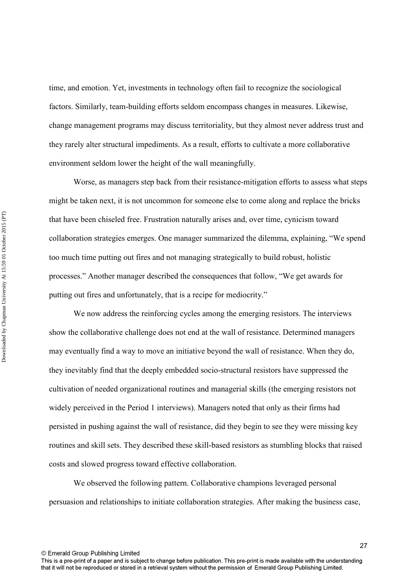time, and emotion. Yet, investments in technology often fail to recognize the sociological factors. Similarly, team-building efforts seldom encompass changes in measures. Likewise, change management programs may discuss territoriality, but they almost never address trust and they rarely alter structural impediments. As a result, efforts to cultivate a more collaborative environment seldom lower the height of the wall meaningfully.

 Worse, as managers step back from their resistance-mitigation efforts to assess what steps might be taken next, it is not uncommon for someone else to come along and replace the bricks that have been chiseled free. Frustration naturally arises and, over time, cynicism toward collaboration strategies emerges. One manager summarized the dilemma, explaining, "We spend too much time putting out fires and not managing strategically to build robust, holistic processes." Another manager described the consequences that follow, "We get awards for putting out fires and unfortunately, that is a recipe for mediocrity."

 We now address the reinforcing cycles among the emerging resistors. The interviews show the collaborative challenge does not end at the wall of resistance. Determined managers may eventually find a way to move an initiative beyond the wall of resistance. When they do, they inevitably find that the deeply embedded socio-structural resistors have suppressed the cultivation of needed organizational routines and managerial skills (the emerging resistors not widely perceived in the Period 1 interviews). Managers noted that only as their firms had persisted in pushing against the wall of resistance, did they begin to see they were missing key routines and skill sets. They described these skill-based resistors as stumbling blocks that raised costs and slowed progress toward effective collaboration.

 We observed the following pattern. Collaborative champions leveraged personal persuasion and relationships to initiate collaboration strategies. After making the business case,

© Emerald Group Publishing Limited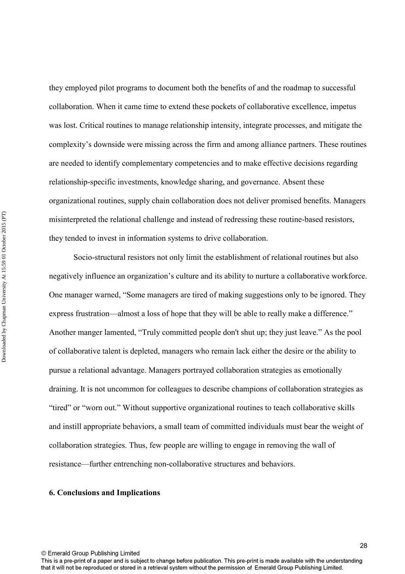they employed pilot programs to document both the benefits of and the roadmap to successful collaboration. When it came time to extend these pockets of collaborative excellence, impetus was lost. Critical routines to manage relationship intensity, integrate processes, and mitigate the complexity's downside were missing across the firm and among alliance partners. These routines are needed to identify complementary competencies and to make effective decisions regarding relationship-specific investments, knowledge sharing, and governance. Absent these organizational routines, supply chain collaboration does not deliver promised benefits. Managers misinterpreted the relational challenge and instead of redressing these routine-based resistors, they tended to invest in information systems to drive collaboration.

 Socio-structural resistors not only limit the establishment of relational routines but also negatively influence an organization's culture and its ability to nurture a collaborative workforce. One manager warned, "Some managers are tired of making suggestions only to be ignored. They express frustration—almost a loss of hope that they will be able to really make a difference." Another manger lamented, "Truly committed people don't shut up; they just leave." As the pool of collaborative talent is depleted, managers who remain lack either the desire or the ability to pursue a relational advantage. Managers portrayed collaboration strategies as emotionally draining. It is not uncommon for colleagues to describe champions of collaboration strategies as "tired" or "worn out." Without supportive organizational routines to teach collaborative skills and instill appropriate behaviors, a small team of committed individuals must bear the weight of collaboration strategies. Thus, few people are willing to engage in removing the wall of resistance—further entrenching non-collaborative structures and behaviors.

### **6. Conclusions and Implications**

© Emerald Group Publishing Limited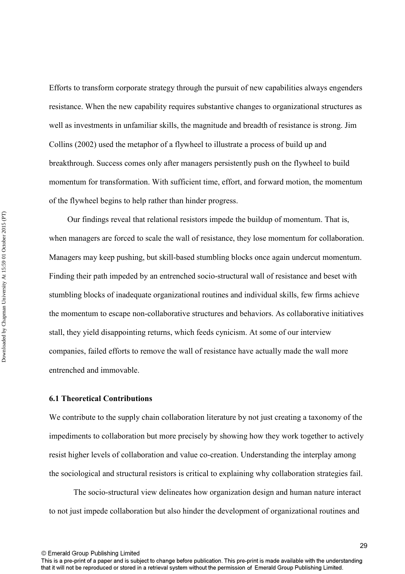Efforts to transform corporate strategy through the pursuit of new capabilities always engenders resistance. When the new capability requires substantive changes to organizational structures as well as investments in unfamiliar skills, the magnitude and breadth of resistance is strong. Jim Collins (2002) used the metaphor of a flywheel to illustrate a process of build up and breakthrough. Success comes only after managers persistently push on the flywheel to build momentum for transformation. With sufficient time, effort, and forward motion, the momentum of the flywheel begins to help rather than hinder progress.

 Our findings reveal that relational resistors impede the buildup of momentum. That is, when managers are forced to scale the wall of resistance, they lose momentum for collaboration. Managers may keep pushing, but skill-based stumbling blocks once again undercut momentum. Finding their path impeded by an entrenched socio-structural wall of resistance and beset with stumbling blocks of inadequate organizational routines and individual skills, few firms achieve the momentum to escape non-collaborative structures and behaviors. As collaborative initiatives stall, they yield disappointing returns, which feeds cynicism. At some of our interview companies, failed efforts to remove the wall of resistance have actually made the wall more entrenched and immovable.

### **6.1 Theoretical Contributions**

We contribute to the supply chain collaboration literature by not just creating a taxonomy of the impediments to collaboration but more precisely by showing how they work together to actively resist higher levels of collaboration and value co-creation. Understanding the interplay among the sociological and structural resistors is critical to explaining why collaboration strategies fail.

 The socio-structural view delineates how organization design and human nature interact to not just impede collaboration but also hinder the development of organizational routines and

© Emerald Group Publishing Limited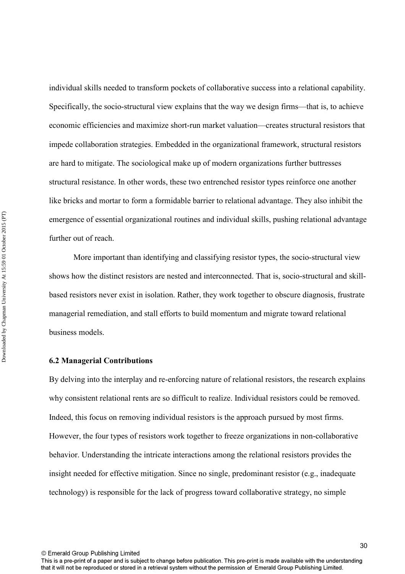individual skills needed to transform pockets of collaborative success into a relational capability. Specifically, the socio-structural view explains that the way we design firms—that is, to achieve economic efficiencies and maximize short-run market valuation—creates structural resistors that impede collaboration strategies. Embedded in the organizational framework, structural resistors are hard to mitigate. The sociological make up of modern organizations further buttresses structural resistance. In other words, these two entrenched resistor types reinforce one another like bricks and mortar to form a formidable barrier to relational advantage. They also inhibit the emergence of essential organizational routines and individual skills, pushing relational advantage further out of reach.

 More important than identifying and classifying resistor types, the socio-structural view shows how the distinct resistors are nested and interconnected. That is, socio-structural and skillbased resistors never exist in isolation. Rather, they work together to obscure diagnosis, frustrate managerial remediation, and stall efforts to build momentum and migrate toward relational business models.

### **6.2 Managerial Contributions**

By delving into the interplay and re-enforcing nature of relational resistors, the research explains why consistent relational rents are so difficult to realize. Individual resistors could be removed. Indeed, this focus on removing individual resistors is the approach pursued by most firms. However, the four types of resistors work together to freeze organizations in non-collaborative behavior. Understanding the intricate interactions among the relational resistors provides the insight needed for effective mitigation. Since no single, predominant resistor (e.g., inadequate technology) is responsible for the lack of progress toward collaborative strategy, no simple

© Emerald Group Publishing Limited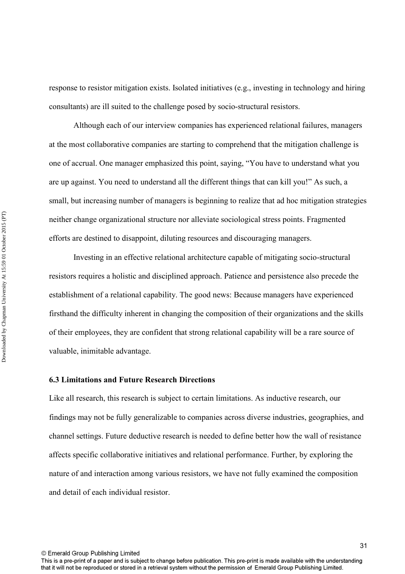response to resistor mitigation exists. Isolated initiatives (e.g., investing in technology and hiring consultants) are ill suited to the challenge posed by socio-structural resistors.

 Although each of our interview companies has experienced relational failures, managers at the most collaborative companies are starting to comprehend that the mitigation challenge is one of accrual. One manager emphasized this point, saying, "You have to understand what you are up against. You need to understand all the different things that can kill you!" As such, a small, but increasing number of managers is beginning to realize that ad hoc mitigation strategies neither change organizational structure nor alleviate sociological stress points. Fragmented efforts are destined to disappoint, diluting resources and discouraging managers.

 Investing in an effective relational architecture capable of mitigating socio-structural resistors requires a holistic and disciplined approach. Patience and persistence also precede the establishment of a relational capability. The good news: Because managers have experienced firsthand the difficulty inherent in changing the composition of their organizations and the skills of their employees, they are confident that strong relational capability will be a rare source of valuable, inimitable advantage.

### **6.3 Limitations and Future Research Directions**

Like all research, this research is subject to certain limitations. As inductive research, our findings may not be fully generalizable to companies across diverse industries, geographies, and channel settings. Future deductive research is needed to define better how the wall of resistance affects specific collaborative initiatives and relational performance. Further, by exploring the nature of and interaction among various resistors, we have not fully examined the composition and detail of each individual resistor.

© Emerald Group Publishing Limited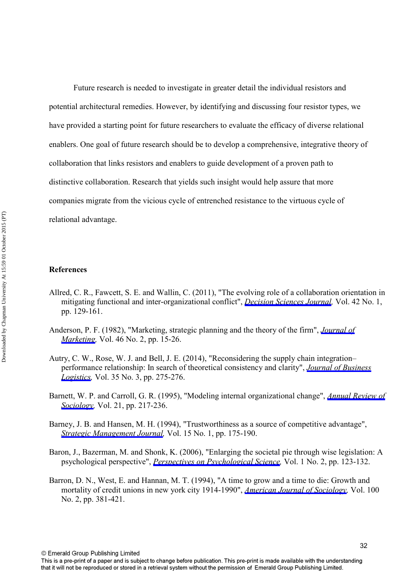Future research is needed to investigate in greater detail the individual resistors and potential architectural remedies. However, by identifying and discussing four resistor types, we have provided a starting point for future researchers to evaluate the efficacy of diverse relational enablers. One goal of future research should be to develop a comprehensive, integrative theory of collaboration that links resistors and enablers to guide development of a proven path to distinctive collaboration. Research that yields such insight would help assure that more companies migrate from the vicious cycle of entrenched resistance to the virtuous cycle of relational advantage.

### **References**

- Allred, C. R., Fawcett, S. E. and Wallin, C. (2011), "The evolving role of a collaboration orientation in mitigating functional and inter-organizational conflict", *[Decision Sciences Journal](http://www.emeraldinsight.com/action/showLinks?crossref=10.1111%2Fj.1540-5915.2010.00304.x&isi=000287702600006),* Vol. 42 No. 1, pp. 129-161.
- Anderson, P. F. (1982), "Marketing, strategic planning and the theory of the firm", *[Journal of](http://www.emeraldinsight.com/action/showLinks?crossref=10.2307%2F3203337&isi=A1982NQ75800001) [Marketing](http://www.emeraldinsight.com/action/showLinks?crossref=10.2307%2F3203337&isi=A1982NQ75800001),* Vol. 46 No. 2, pp. 15-26.
- Autry, C. W., Rose, W. J. and Bell, J. E. (2014), "Reconsidering the supply chain integration– performance relationship: In search of theoretical consistency and clarity", *[Journal of Business](http://www.emeraldinsight.com/action/showLinks?crossref=10.1111%2Fjbl.12059)  [Logistics,](http://www.emeraldinsight.com/action/showLinks?crossref=10.1111%2Fjbl.12059)* Vol. 35 No. 3, pp. 275-276.
- Barnett, W. P. and Carroll, G. R. (1995), "Modeling internal organizational change", *[Annual Review of](http://www.emeraldinsight.com/action/showLinks?crossref=10.1146%2Fannurev.so.21.080195.001245&isi=A1995RP07700011)  [Sociology,](http://www.emeraldinsight.com/action/showLinks?crossref=10.1146%2Fannurev.so.21.080195.001245&isi=A1995RP07700011)* Vol. 21, pp. 217-236.
- Barney, J. B. and Hansen, M. H. (1994), "Trustworthiness as a source of competitive advantage", *[Strategic Management Journal,](http://www.emeraldinsight.com/action/showLinks?crossref=10.1002%2Fsmj.4250150912&isi=A1994QT81300012)* Vol. 15 No. 1, pp. 175-190.
- Baron, J., Bazerman, M. and Shonk, K. (2006), "Enlarging the societal pie through wise legislation: A psychological perspective", *[Perspectives on Psychological Science](http://www.emeraldinsight.com/action/showLinks?crossref=10.1111%2Fj.1745-6916.2006.00009.x),* Vol. 1 No. 2, pp. 123-132.
- Barron, D. N., West, E. and Hannan, M. T. (1994), "A time to grow and a time to die: Growth and mortality of credit unions in new york city 1914-1990", *[American Journal of Sociology](http://www.emeraldinsight.com/action/showLinks?crossref=10.1086%2F230541&isi=A1994PL88300003),* Vol. 100 No. 2, pp. 381-421.

© Emerald Group Publishing Limited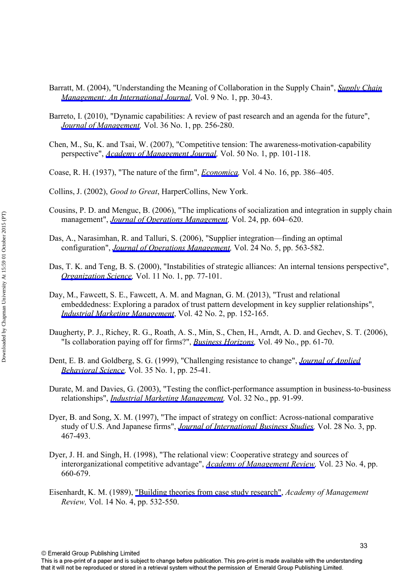- Barratt, M. (2004), "Understanding the Meaning of Collaboration in the Supply Chain", *[Supply Chain](http://www.emeraldinsight.com/action/showLinks?system=10.1108%2F13598540410517566&isi=000220114000005)  [Management: An International Journal](http://www.emeraldinsight.com/action/showLinks?system=10.1108%2F13598540410517566&isi=000220114000005)*, Vol. 9 No. 1, pp. 30-43.
- Barreto, I. (2010), "Dynamic capabilities: A review of past research and an agenda for the future". *[Journal of Management](http://www.emeraldinsight.com/action/showLinks?crossref=10.1177%2F0149206309350776&isi=000273070500010),* Vol. 36 No. 1, pp. 256-280.
- Chen, M., Su, K. and Tsai, W. (2007), "Competitive tension: The awareness-motivation-capability perspective", *[Academy of Management Journal,](http://www.emeraldinsight.com/action/showLinks?crossref=10.5465%2FAMJ.2007.24162081&isi=000244976900008)* Vol. 50 No. 1, pp. 101-118.
- Coase, R. H. (1937), "The nature of the firm", *[Economica,](http://www.emeraldinsight.com/action/showLinks?crossref=10.1111%2Fj.1468-0335.1937.tb00002.x)* Vol. 4 No. 16, pp. 386–405.
- Collins, J. (2002), *Good to Great*, HarperCollins, New York.
- Cousins, P. D. and Menguc, B. (2006), "The implications of socialization and integration in supply chain management", *[Journal of Operations Management,](http://www.emeraldinsight.com/action/showLinks?crossref=10.1016%2Fj.jom.2005.09.001&isi=000240638000012)* Vol. 24, pp. 604–620.
- Das, A., Narasimhan, R. and Talluri, S. (2006), "Supplier integration—finding an optimal configuration", *[Journal of Operations Management](http://www.emeraldinsight.com/action/showLinks?crossref=10.1016%2Fj.jom.2005.09.003&isi=000240638000010),* Vol. 24 No. 5, pp. 563-582.
- Das, T. K. and Teng, B. S. (2000), "Instabilities of strategic alliances: An internal tensions perspective", *[Organization Science,](http://www.emeraldinsight.com/action/showLinks?crossref=10.1287%2Forsc.11.1.77.12570&isi=000087024800005)* Vol. 11 No. 1, pp. 77-101.
- Day, M., Fawcett, S. E., Fawcett, A. M. and Magnan, G. M. (2013), "Trust and relational embeddedness: Exploring a paradox of trust pattern development in key supplier relationships", *[Industrial Marketing Management](http://www.emeraldinsight.com/action/showLinks?crossref=10.1016%2Fj.indmarman.2012.12.004&isi=000317538300003)*, Vol. 42 No. 2, pp. 152-165.
- Daugherty, P. J., Richey, R. G., Roath, A. S., Min, S., Chen, H., Arndt, A. D. and Gechev, S. T. (2006), "Is collaboration paying off for firms?", *[Business Horizons](http://www.emeraldinsight.com/action/showLinks?crossref=10.1016%2Fj.bushor.2005.06.002),* Vol. 49 No., pp. 61-70.
- Dent, E. B. and Goldberg, S. G. (1999), "Challenging resistance to change", *[Journal of Applied](http://www.emeraldinsight.com/action/showLinks?crossref=10.1177%2F0021886399351003)  [Behavioral Science](http://www.emeraldinsight.com/action/showLinks?crossref=10.1177%2F0021886399351003),* Vol. 35 No. 1, pp. 25-41.
- Durate, M. and Davies, G. (2003), "Testing the conflict-performance assumption in business-to-business relationships", *[Industrial Marketing Management](http://www.emeraldinsight.com/action/showLinks?crossref=10.1016%2FS0019-8501%2802%2900223-7&isi=000181450200003),* Vol. 32 No., pp. 91-99.
- Dyer, B. and Song, X. M. (1997), "The impact of strategy on conflict: Across-national comparative study of U.S. And Japanese firms", *[Journal of International Business Studies,](http://www.emeraldinsight.com/action/showLinks?crossref=10.1057%2Fpalgrave.jibs.8490108&isi=A1997YC41400002)* Vol. 28 No. 3, pp. 467-493.
- Dyer, J. H. and Singh, H. (1998), "The relational view: Cooperative strategy and sources of interorganizational competitive advantage", *[Academy of Management Review,](http://www.emeraldinsight.com/action/showLinks?isi=000076489300007)* Vol. 23 No. 4, pp. 660-679.
- Eisenhardt, K. M. (1989), ["Building theories from case study research",](http://www.emeraldinsight.com/action/showLinks?crossref=10.2307%2F258557) *Academy of Management Review,* Vol. 14 No. 4, pp. 532-550.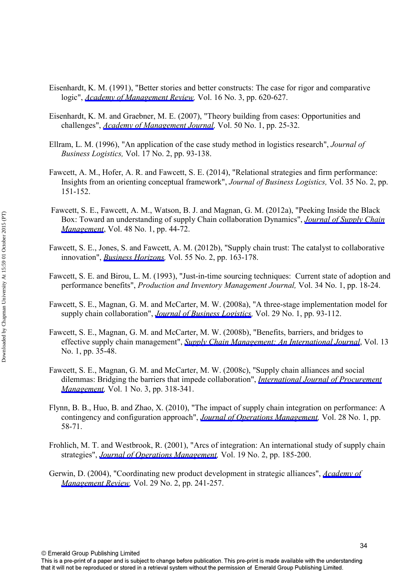- Eisenhardt, K. M. (1991), "Better stories and better constructs: The case for rigor and comparative logic", *[Academy of Management Review,](http://www.emeraldinsight.com/action/showLinks?isi=A1991FW25700007)* Vol. 16 No. 3, pp. 620-627.
- Eisenhardt, K. M. and Graebner, M. E. (2007), "Theory building from cases: Opportunities and challenges", *[Academy of Management Journal](http://www.emeraldinsight.com/action/showLinks?crossref=10.5465%2FAMJ.2007.24160888&isi=000244976900004),* Vol. 50 No. 1, pp. 25-32.
- Ellram, L. M. (1996), "An application of the case study method in logistics research", *Journal of Business Logistics,* Vol. 17 No. 2, pp. 93-138.
- Fawcett, A. M., Hofer, A. R. and Fawcett, S. E. (2014), "Relational strategies and firm performance: Insights from an orienting conceptual framework", *Journal of Business Logistics,* Vol. 35 No. 2, pp. 151-152.
- Fawcett, S. E., Fawcett, A. M., Watson, B. J. and Magnan, G. M. (2012a), "Peeking Inside the Black Box: Toward an understanding of supply Chain collaboration Dynamics", *[Journal of Supply Chain](http://www.emeraldinsight.com/action/showLinks?crossref=10.1111%2Fj.1745-493X.2011.03241.x) [Management](http://www.emeraldinsight.com/action/showLinks?crossref=10.1111%2Fj.1745-493X.2011.03241.x)*, Vol. 48 No. 1, pp. 44-72.
- Fawcett, S. E., Jones, S. and Fawcett, A. M. (2012b), "Supply chain trust: The catalyst to collaborative innovation", *[Business Horizons,](http://www.emeraldinsight.com/action/showLinks?crossref=10.1016%2Fj.bushor.2011.11.004)* Vol. 55 No. 2, pp. 163-178.
- Fawcett, S. E. and Birou, L. M. (1993), "Just-in-time sourcing techniques: Current state of adoption and performance benefits", *Production and Inventory Management Journal,* Vol. 34 No. 1, pp. 18-24.
- Fawcett, S. E., Magnan, G. M. and McCarter, M. W. (2008a), "A three-stage implementation model for supply chain collaboration", *[Journal of Business Logistics](http://www.emeraldinsight.com/action/showLinks?crossref=10.1002%2Fj.2158-1592.2008.tb00070.x),* Vol. 29 No. 1, pp. 93-112.
- Fawcett, S. E., Magnan, G. M. and McCarter, M. W. (2008b), "Benefits, barriers, and bridges to effective supply chain management", *[Supply Chain Management: An International Journal](http://www.emeraldinsight.com/action/showLinks?system=10.1108%2F13598540810850300&isi=000252987800005)*, Vol. 13 No. 1, pp. 35-48.
- Fawcett, S. E., Magnan, G. M. and McCarter, M. W. (2008c), "Supply chain alliances and social dilemmas: Bridging the barriers that impede collaboration", *[International Journal of Procurement](http://www.emeraldinsight.com/action/showLinks?crossref=10.1504%2FIJPM.2008.017528) [Management,](http://www.emeraldinsight.com/action/showLinks?crossref=10.1504%2FIJPM.2008.017528)* Vol. 1 No. 3, pp. 318-341.
- Flynn, B. B., Huo, B. and Zhao, X. (2010), "The impact of supply chain integration on performance: A contingency and configuration approach", *[Journal of Operations Management](http://www.emeraldinsight.com/action/showLinks?crossref=10.1016%2Fj.jom.2009.06.001&isi=000273447800005),* Vol. 28 No. 1, pp. 58-71.
- Frohlich, M. T. and Westbrook, R. (2001), "Arcs of integration: An international study of supply chain strategies", *[Journal of Operations Management,](http://www.emeraldinsight.com/action/showLinks?crossref=10.1016%2FS0272-6963%2800%2900055-3&isi=000166860600004)* Vol. 19 No. 2, pp. 185-200.
- Gerwin, D. (2004), "Coordinating new product development in strategic alliances", *[Academy of](http://www.emeraldinsight.com/action/showLinks?isi=000220575500005)  [Management Review](http://www.emeraldinsight.com/action/showLinks?isi=000220575500005),* Vol. 29 No. 2, pp. 241-257.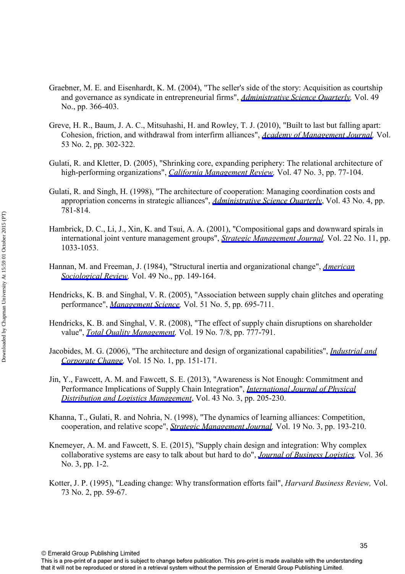- Graebner, M. E. and Eisenhardt, K. M. (2004), "The seller's side of the story: Acquisition as courtship and governance as syndicate in entrepreneurial firms", *[Administrative Science Quarterly,](http://www.emeraldinsight.com/action/showLinks?isi=000227108100002)* Vol. 49 No., pp. 366-403.
- Greve, H. R., Baum, J. A. C., Mitsuhashi, H. and Rowley, T. J. (2010), "Built to last but falling apart: Cohesion, friction, and withdrawal from interfirm alliances", *[Academy of Management Journal](http://www.emeraldinsight.com/action/showLinks?crossref=10.5465%2FAMJ.2010.49388955&isi=000277657300005),* Vol. 53 No. 2, pp. 302-322.
- Gulati, R. and Kletter, D. (2005), "Shrinking core, expanding periphery: The relational architecture of high-performing organizations", *[California Management Review](http://www.emeraldinsight.com/action/showLinks?crossref=10.2307%2F41166307&isi=000229296500004),* Vol. 47 No. 3, pp. 77-104.
- Gulati, R. and Singh, H. (1998), "The architecture of cooperation: Managing coordination costs and appropriation concerns in strategic alliances", *[Administrative Science Quarterly](http://www.emeraldinsight.com/action/showLinks?crossref=10.2307%2F2393616&isi=000078591500002)*, Vol. 43 No. 4, pp. 781-814.
- Hambrick, D. C., Li, J., Xin, K. and Tsui, A. A. (2001), "Compositional gaps and downward spirals in international joint venture management groups", *[Strategic Management Journal](http://www.emeraldinsight.com/action/showLinks?crossref=10.1002%2Fsmj.195&isi=000171685800003),* Vol. 22 No. 11, pp. 1033-1053.
- Hannan, M. and Freeman, J. (1984), "Structural inertia and organizational change", *[American](http://www.emeraldinsight.com/action/showLinks?crossref=10.2307%2F2095567&isi=A1984ANQ8200002) [Sociological Review,](http://www.emeraldinsight.com/action/showLinks?crossref=10.2307%2F2095567&isi=A1984ANQ8200002)* Vol. 49 No., pp. 149-164.
- Hendricks, K. B. and Singhal, V. R. (2005), "Association between supply chain glitches and operating performance", *[Management Science,](http://www.emeraldinsight.com/action/showLinks?crossref=10.1287%2Fmnsc.1040.0353&isi=000229692000002)* Vol. 51 No. 5, pp. 695-711.
- Hendricks, K. B. and Singhal, V. R. (2008), "The effect of supply chain disruptions on shareholder value", *[Total Quality Management](http://www.emeraldinsight.com/action/showLinks?crossref=10.1080%2F14783360802159444),* Vol. 19 No. 7/8, pp. 777-791.
- Jacobides, M. G. (2006), "The architecture and design of organizational capabilities", *[Industrial and](http://www.emeraldinsight.com/action/showLinks?crossref=10.1093%2Ficc%2Fdtj009&isi=000236146900009)  [Corporate Change,](http://www.emeraldinsight.com/action/showLinks?crossref=10.1093%2Ficc%2Fdtj009&isi=000236146900009)* Vol. 15 No. 1, pp. 151-171.
- Jin, Y., Fawcett, A. M. and Fawcett, S. E. (2013), "Awareness is Not Enough: Commitment and Performance Implications of Supply Chain Integration", *[International Journal of Physical](http://www.emeraldinsight.com/action/showLinks?system=10.1108%2FIJPDLM-10-2011-0169) [Distribution and Logistics Management](http://www.emeraldinsight.com/action/showLinks?system=10.1108%2FIJPDLM-10-2011-0169)*, Vol. 43 No. 3, pp. 205-230.
- Khanna, T., Gulati, R. and Nohria, N. (1998), "The dynamics of learning alliances: Competition, cooperation, and relative scope", *[Strategic Management Journal](http://www.emeraldinsight.com/action/showLinks?crossref=10.1002%2F%28SICI%291097-0266%28199803%2919%3A3%3C193%3A%3AAID-SMJ949%3E3.0.CO%3B2-C&isi=000072318000001),* Vol. 19 No. 3, pp. 193-210.
- Knemeyer, A. M. and Fawcett, S. E. (2015), "Supply chain design and integration: Why complex collaborative systems are easy to talk about but hard to do", *[Journal of Business Logistics,](http://www.emeraldinsight.com/action/showLinks?crossref=10.1111%2Fjbl.12093)* Vol. 36 No. 3, pp. 1-2.
- Kotter, J. P. (1995), "Leading change: Why transformation efforts fail", *Harvard Business Review,* Vol. 73 No. 2, pp. 59-67.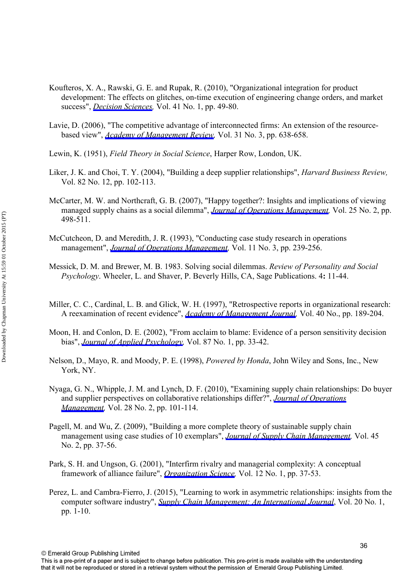- Koufteros, X. A., Rawski, G. E. and Rupak, R. (2010), "Organizational integration for product development: The effects on glitches, on-time execution of engineering change orders, and market success", *[Decision Sciences](http://www.emeraldinsight.com/action/showLinks?crossref=10.1111%2Fj.1540-5915.2009.00259.x&isi=000274904700003),* Vol. 41 No. 1, pp. 49-80.
- Lavie, D. (2006), "The competitive advantage of interconnected firms: An extension of the resourcebased view", *[Academy of Management Review](http://www.emeraldinsight.com/action/showLinks?crossref=10.5465%2FAMR.2006.21318922&isi=000238379400009),* Vol. 31 No. 3, pp. 638-658.
- Lewin, K. (1951), *Field Theory in Social Science*, Harper Row, London, UK.
- Liker, J. K. and Choi, T. Y. (2004), "Building a deep supplier relationships", *Harvard Business Review,* Vol. 82 No. 12, pp. 102-113.
- McCarter, M. W. and Northcraft, G. B. (2007), "Happy together?: Insights and implications of viewing managed supply chains as a social dilemma", *[Journal of Operations Management,](http://www.emeraldinsight.com/action/showLinks?crossref=10.1016%2Fj.jom.2006.05.005&isi=000245527600022)* Vol. 25 No. 2, pp. 498-511.
- McCutcheon, D. and Meredith, J. R. (1993), "Conducting case study research in operations management", *[Journal of Operations Management,](http://www.emeraldinsight.com/action/showLinks?crossref=10.1016%2F0272-6963%2893%2990002-7)* Vol. 11 No. 3, pp. 239-256.
- Messick, D. M. and Brewer, M. B. 1983. Solving social dilemmas. *Review of Personality and Social Psychology*. Wheeler, L. and Shaver, P. Beverly Hills, CA, Sage Publications. 4**:** 11-44.
- Miller, C. C., Cardinal, L. B. and Glick, W. H. (1997), "Retrospective reports in organizational research: A reexamination of recent evidence", *[Academy of Management Journal,](http://www.emeraldinsight.com/action/showLinks?crossref=10.2307%2F257026&isi=A1997WN87100008)* Vol. 40 No., pp. 189-204.
- Moon, H. and Conlon, D. E. (2002), "From acclaim to blame: Evidence of a person sensitivity decision bias", *[Journal of Applied Psychology,](http://www.emeraldinsight.com/action/showLinks?crossref=10.1037%2F0021-9010.87.1.33&isi=000173486000003)* Vol. 87 No. 1, pp. 33-42.
- Nelson, D., Mayo, R. and Moody, P. E. (1998), *Powered by Honda*, John Wiley and Sons, Inc., New York, NY.
- Nyaga, G. N., Whipple, J. M. and Lynch, D. F. (2010), "Examining supply chain relationships: Do buyer and supplier perspectives on collaborative relationships differ?", *[Journal of Operations](http://www.emeraldinsight.com/action/showLinks?crossref=10.1016%2Fj.jom.2009.07.005&isi=000275244400002) [Management,](http://www.emeraldinsight.com/action/showLinks?crossref=10.1016%2Fj.jom.2009.07.005&isi=000275244400002)* Vol. 28 No. 2, pp. 101-114.
- Pagell, M. and Wu, Z. (2009), "Building a more complete theory of sustainable supply chain management using case studies of 10 exemplars", *[Journal of Supply Chain Management](http://www.emeraldinsight.com/action/showLinks?crossref=10.1111%2Fj.1745-493X.2009.03162.x),* Vol. 45 No. 2, pp. 37-56.
- Park, S. H. and Ungson, G. (2001), "Interfirm rivalry and managerial complexity: A conceptual framework of alliance failure", *[Organization Science,](http://www.emeraldinsight.com/action/showLinks?crossref=10.1287%2Forsc.12.1.37.10118&isi=000167832400003)* Vol. 12 No. 1, pp. 37-53.
- Perez, L. and Cambra-Fierro, J. (2015), "Learning to work in asymmetric relationships: insights from the computer software industry", *[Supply Chain Management: An International Journal](http://www.emeraldinsight.com/action/showLinks?system=10.1108%2FSCM-12-2013-0468&isi=000349648200001)*, Vol. 20 No. 1, pp. 1-10.

36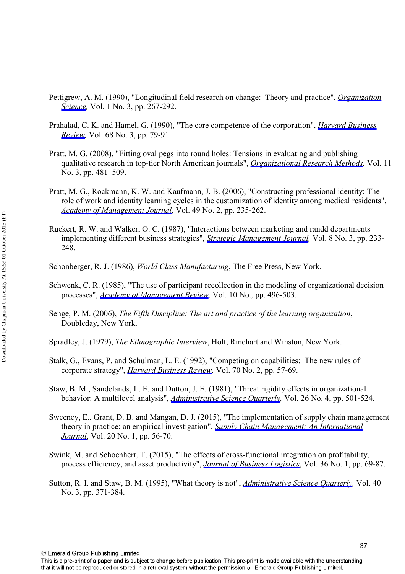- Pettigrew, A. M. (1990), "Longitudinal field research on change: Theory and practice", *[Organization](http://www.emeraldinsight.com/action/showLinks?crossref=10.1287%2Forsc.1.3.267&isi=000208105000004)  [Science,](http://www.emeraldinsight.com/action/showLinks?crossref=10.1287%2Forsc.1.3.267&isi=000208105000004)* Vol. 1 No. 3, pp. 267-292.
- Prahalad, C. K. and Hamel, G. (1990), "The core competence of the corporation", *[Harvard Business](http://www.emeraldinsight.com/action/showLinks?isi=A1990DC29500010) [Review,](http://www.emeraldinsight.com/action/showLinks?isi=A1990DC29500010)* Vol. 68 No. 3, pp. 79-91.
- Pratt, M. G. (2008), "Fitting oval pegs into round holes: Tensions in evaluating and publishing qualitative research in top-tier North American journals", *[Organizational Research Methods,](http://www.emeraldinsight.com/action/showLinks?crossref=10.1177%2F1094428107303349&isi=000256588900004)* Vol. 11 No. 3, pp. 481–509.
- Pratt, M. G., Rockmann, K. W. and Kaufmann, J. B. (2006), "Constructing professional identity: The role of work and identity learning cycles in the customization of identity among medical residents", *[Academy of Management Journal](http://www.emeraldinsight.com/action/showLinks?crossref=10.5465%2FAMJ.2006.20786060&isi=000237198600007),* Vol. 49 No. 2, pp. 235-262.
- Ruekert, R. W. and Walker, O. C. (1987), "Interactions between marketing and randd departments implementing different business strategies", *[Strategic Management Journal](http://www.emeraldinsight.com/action/showLinks?crossref=10.1002%2Fsmj.4250080303&isi=A1987H198300002),* Vol. 8 No. 3, pp. 233- 248.
- Schonberger, R. J. (1986), *World Class Manufacturing*, The Free Press, New York.
- Schwenk, C. R. (1985), "The use of participant recollection in the modeling of organizational decision processes", *[Academy of Management Review](http://www.emeraldinsight.com/action/showLinks?isi=A1985ANL5900009),* Vol. 10 No., pp. 496-503.
- Senge, P. M. (2006), *The Fifth Discipline: The art and practice of the learning organization*, Doubleday, New York.
- Spradley, J. (1979), *The Ethnographic Interview*, Holt, Rinehart and Winston, New York.
- Stalk, G., Evans, P. and Schulman, L. E. (1992), "Competing on capabilities: The new rules of corporate strategy", *[Harvard Business Review](http://www.emeraldinsight.com/action/showLinks?isi=A1992HJ00100006),* Vol. 70 No. 2, pp. 57-69.
- Staw, B. M., Sandelands, L. E. and Dutton, J. E. (1981), "Threat rigidity effects in organizational behavior: A multilevel analysis", *[Administrative Science Quarterly,](http://www.emeraldinsight.com/action/showLinks?crossref=10.2307%2F2392337&isi=A1981MR28100001)* Vol. 26 No. 4, pp. 501-524.
- Sweeney, E., Grant, D. B. and Mangan, D. J. (2015), "The implementation of supply chain management theory in practice; an empirical investigation", *[Supply Chain Management: An International](http://www.emeraldinsight.com/action/showLinks?system=10.1108%2FSCM-07-2014-0249&isi=000349648200005) [Journal](http://www.emeraldinsight.com/action/showLinks?system=10.1108%2FSCM-07-2014-0249&isi=000349648200005)*, Vol. 20 No. 1, pp. 56-70.
- Swink, M. and Schoenherr, T. (2015), "The effects of cross-functional integration on profitability, process efficiency, and asset productivity", *[Journal of Business Logistics](http://www.emeraldinsight.com/action/showLinks?crossref=10.1111%2Fjbl.12070)*, Vol. 36 No. 1, pp. 69-87.
- Sutton, R. I. and Staw, B. M. (1995), "What theory is not", *[Administrative Science Quarterly,](http://www.emeraldinsight.com/action/showLinks?crossref=10.2307%2F2393788)* Vol. 40 No. 3, pp. 371-384.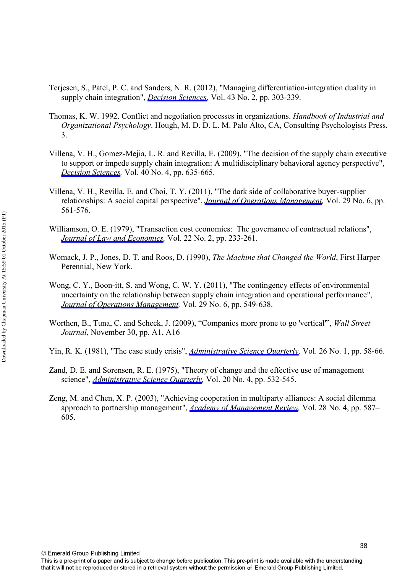- Terjesen, S., Patel, P. C. and Sanders, N. R. (2012), "Managing differentiation-integration duality in supply chain integration", *[Decision Sciences,](http://www.emeraldinsight.com/action/showLinks?crossref=10.1111%2Fj.1540-5915.2011.00345.x&isi=000302545900004)* Vol. 43 No. 2, pp. 303-339.
- Thomas, K. W. 1992. Conflict and negotiation processes in organizations. *Handbook of Industrial and Organizational Psychology*. Hough, M. D. D. L. M. Palo Alto, CA, Consulting Psychologists Press. 3.
- Villena, V. H., Gomez-Mejia, L. R. and Revilla, E. (2009), "The decision of the supply chain executive to support or impede supply chain integration: A multidisciplinary behavioral agency perspective", *[Decision Sciences](http://www.emeraldinsight.com/action/showLinks?crossref=10.1111%2Fj.1540-5915.2009.00245.x&isi=000272188600001),* Vol. 40 No. 4, pp. 635-665.
- Villena, V. H., Revilla, E. and Choi, T. Y. (2011), "The dark side of collaborative buyer-supplier relationships: A social capital perspective", *[Journal of Operations Management](http://www.emeraldinsight.com/action/showLinks?crossref=10.1016%2Fj.jom.2010.09.001&isi=000291291800002),* Vol. 29 No. 6, pp. 561-576.
- Williamson, O. E. (1979), "Transaction cost economics: The governance of contractual relations", *[Journal of Law and Economics](http://www.emeraldinsight.com/action/showLinks?crossref=10.1086%2F466942&isi=A1979HW40500002),* Vol. 22 No. 2, pp. 233-261.
- Womack, J. P., Jones, D. T. and Roos, D. (1990), *The Machine that Changed the World*, First Harper Perennial, New York.
- Wong, C. Y., Boon-itt, S. and Wong, C. W. Y. (2011), "The contingency effects of environmental uncertainty on the relationship between supply chain integration and operational performance", *[Journal of Operations Management](http://www.emeraldinsight.com/action/showLinks?crossref=10.1016%2Fj.jom.2011.01.003&isi=000291291800005),* Vol. 29 No. 6, pp. 549-638.
- Worthen, B., Tuna, C. and Scheck, J. (2009), "Companies more prone to go 'vertical'", *Wall Street Journal*, November 30, pp. A1, A16
- Yin, R. K. (1981), "The case study crisis", *[Administrative Science Quarterly,](http://www.emeraldinsight.com/action/showLinks?crossref=10.2307%2F2392599&isi=A1981LL44800004)* Vol. 26 No. 1, pp. 58-66.
- Zand, D. E. and Sorensen, R. E. (1975), "Theory of change and the effective use of management science", *[Administrative Science Quarterly,](http://www.emeraldinsight.com/action/showLinks?crossref=10.2307%2F2392021&isi=A1975AX37400004)* Vol. 20 No. 4, pp. 532-545.
- Zeng, M. and Chen, X. P. (2003), "Achieving cooperation in multiparty alliances: A social dilemma approach to partnership management", *[Academy of Management Review](http://www.emeraldinsight.com/action/showLinks?isi=000185880200004),* Vol. 28 No. 4, pp. 587– 605.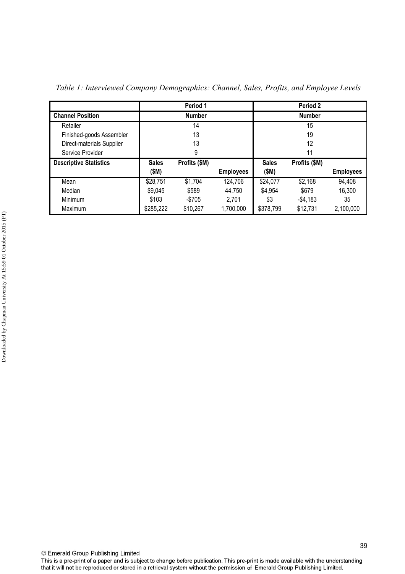|                               |              | Period 1      |                  |              | Period 2      |                  |
|-------------------------------|--------------|---------------|------------------|--------------|---------------|------------------|
| <b>Channel Position</b>       |              | <b>Number</b> |                  |              | <b>Number</b> |                  |
| Retailer                      |              | 14            |                  |              | 15            |                  |
| Finished-goods Assembler      |              | 13            |                  |              | 19            |                  |
| Direct-materials Supplier     |              | 13            |                  |              | 12            |                  |
| Service Provider              |              | 9             |                  |              | 11            |                  |
| <b>Descriptive Statistics</b> | <b>Sales</b> | Profits (\$M) |                  | <b>Sales</b> | Profits (\$M) |                  |
|                               | (SM)         |               | <b>Employees</b> | (\$M)        |               | <b>Employees</b> |
| Mean                          | \$28,751     | \$1,704       | 124,706          | \$24,077     | \$2,168       | 94,408           |
| Median                        | \$9,045      | \$589         | 44.750           | \$4,954      | \$679         | 16,300           |
| Minimum                       | \$103        | -\$705        | 2,701            | \$3          | $-$4,183$     | 35               |
| Maximum                       | \$285,222    | \$10,267      | 1,700,000        | \$378,799    | \$12,731      | 2,100,000        |

*Table 1: Interviewed Company Demographics: Channel, Sales, Profits, and Employee Levels*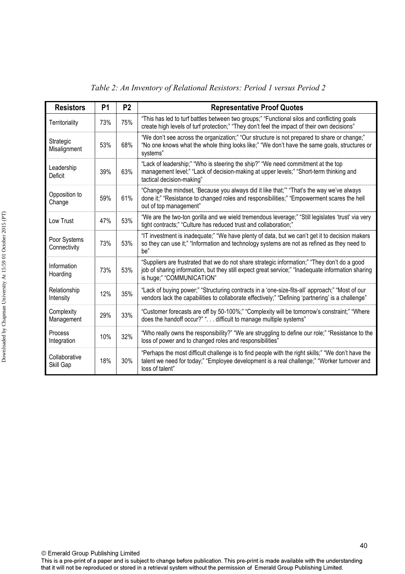| <b>Resistors</b>             | P <sub>1</sub> | P <sub>2</sub> | <b>Representative Proof Quotes</b>                                                                                                                                                                                             |
|------------------------------|----------------|----------------|--------------------------------------------------------------------------------------------------------------------------------------------------------------------------------------------------------------------------------|
| Territoriality               | 73%            | 75%            | "This has led to turf battles between two groups;" "Functional silos and conflicting goals<br>create high levels of turf protection;" "They don't feel the impact of their own decisions"                                      |
| Strategic<br>Misalignment    | 53%            | 68%            | "We don't see across the organization;" "Our structure is not prepared to share or change;"<br>"No one knows what the whole thing looks like;" "We don't have the same goals, structures or<br>systems"                        |
| Leadership<br>Deficit        | 39%            | 63%            | "Lack of leadership;" "Who is steering the ship?" "We need commitment at the top<br>management level;" "Lack of decision-making at upper levels;" "Short-term thinking and<br>tactical decision-making"                        |
| Opposition to<br>Change      | 59%            | 61%            | "Change the mindset, 'Because you always did it like that;" "That's the way we've always<br>done it;" "Resistance to changed roles and responsibilities;" "Empowerment scares the hell<br>out of top management"               |
| Low Trust                    | 47%            | 53%            | "We are the two-ton gorilla and we wield tremendous leverage;" "Still legislates 'trust' via very<br>tight contracts;" "Culture has reduced trust and collaboration;"                                                          |
| Poor Systems<br>Connectivity | 73%            | 53%            | "IT investment is inadequate;" "We have plenty of data, but we can't get it to decision makers<br>so they can use it;" "Information and technology systems are not as refined as they need to<br>be"                           |
| Information<br>Hoarding      | 73%            | 53%            | "Suppliers are frustrated that we do not share strategic information;" "They don't do a good<br>job of sharing information, but they still expect great service;" "Inadequate information sharing<br>is huge;" "COMMUNICATION" |
| Relationship<br>Intensity    | 12%            | 35%            | "Lack of buying power;" "Structuring contracts in a 'one-size-fits-all' approach;" "Most of our<br>vendors lack the capabilities to collaborate effectively;" "Defining 'partnering' is a challenge"                           |
| Complexity<br>Management     | 29%            | 33%            | "Customer forecasts are off by 50-100%;" "Complexity will be tomorrow's constraint;" "Where<br>does the handoff occur?" ". difficult to manage multiple systems"                                                               |
| Process<br>Integration       | 10%            | 32%            | "Who really owns the responsibility?" "We are struggling to define our role;" "Resistance to the<br>loss of power and to changed roles and responsibilities"                                                                   |
| Collaborative<br>Skill Gap   | 18%            | 30%            | "Perhaps the most difficult challenge is to find people with the right skills;" "We don't have the<br>talent we need for today;" "Employee development is a real challenge;" "Worker turnover and<br>loss of talent"           |

*Table 2: An Inventory of Relational Resistors: Period 1 versus Period 2*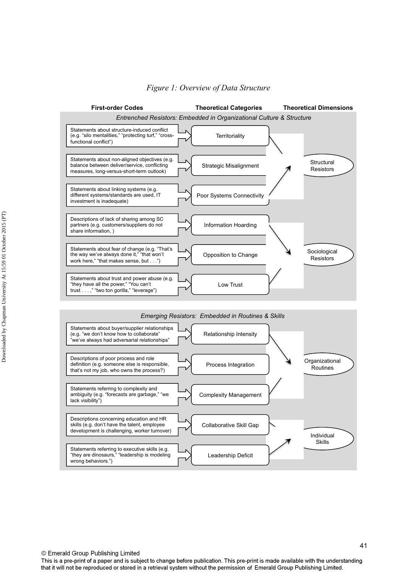

### *Figure 1: Overview of Data Structure*



41